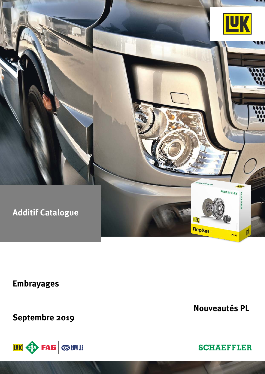

**Embrayages**

**Septembre 2019**



**Nouveautés PL**

**SCHAEFFLER**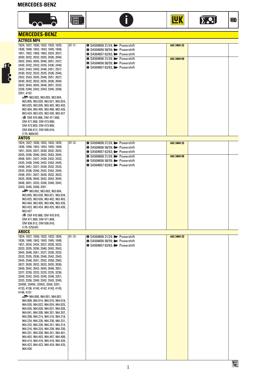#### **MERCEDES-BENZ**











N

| <b>MERCEDES-BENZ</b>                                                       |           |                                                                                    |             |  |
|----------------------------------------------------------------------------|-----------|------------------------------------------------------------------------------------|-------------|--|
| <b>ACTROS MP4</b>                                                          |           |                                                                                    |             |  |
| 1824; 1827; 1830; 1832; 1833; 1835;                                        | $07.11 -$ | <b>■ SA504656 21/24; ■ Powershift</b>                                              | 643 3404 33 |  |
| 1836; 1840; 1842; 1843; 1845; 1848;                                        |           | <b>■ SA504656 58/59; III</b> Powershift                                            |             |  |
| 1851; 1852; 1858; 1863; 2024; 2027;<br>2030; 2032; 2033; 2035; 2036; 2040; |           | <b>■ SA504657 62/63; III</b> Powershift                                            |             |  |
| 2042; 2043; 2045; 2048; 2051; 2427;                                        |           | <b>● SA504656 21/24; ID</b> Powershift                                             | 643 3404 09 |  |
| 2430; 2432; 2433; 2435; 2436; 2440;                                        |           | <b>■ SA504656 58/59; III</b> Powershift<br><b>■ SA504657 62/63; III</b> Powershift |             |  |
| 2442; 2443; 2445; 2448; 2451; 2527;                                        |           |                                                                                    |             |  |
| 2530; 2532; 2533; 2535; 2536; 2540;<br>2542; 2543; 2545; 2548; 2551; 2627; |           |                                                                                    |             |  |
| 2630; 2632; 2633; 2635; 2636; 2640;                                        |           |                                                                                    |             |  |
| 2642; 2643; 2645; 2648; 2651; 3333;                                        |           |                                                                                    |             |  |
| 3336; 3340; 3342; 3343; 3345; 3348;                                        |           |                                                                                    |             |  |
| 3351; 4152<br>$\equiv$ 963.002, 963.003, 963.004,                          |           |                                                                                    |             |  |
| 963.005, 963.020, 963.021, 963.024,                                        |           |                                                                                    |             |  |
| 963.025, 963.026, 963.402, 963.403,                                        |           |                                                                                    |             |  |
| 963.404, 963.405, 963.406, 963.420,                                        |           |                                                                                    |             |  |
| 963.424, 963.425, 963.426, 963.427<br>■ OM 470.906; OM 471.900;            |           |                                                                                    |             |  |
| OM 471.909; OM 473.900;                                                    |           |                                                                                    |             |  |
| OM 473.903; OM 473.905;                                                    |           |                                                                                    |             |  |
| OM 936.912; OM 936.916;                                                    |           |                                                                                    |             |  |
| (175-460kW)<br><b>ANTOS</b>                                                |           |                                                                                    |             |  |
| 1824; 1827; 1830; 1832; 1833; 1835;                                        | $07.12 -$ | <b>■ SA504656 21/24; III</b> Powershift                                            | 643 3404 33 |  |
| 1836; 1840; 1842; 1843; 1845; 1848;                                        |           | <b>■ SA504656 58/59; III</b> Powershift                                            |             |  |
| 1851; 2024; 2027; 2030; 2032; 2033;                                        |           | <b>■ SA504657 62/63; III</b> Powershift                                            |             |  |
| 2035; 2036; 2040; 2042; 2043; 2045;<br>2048; 2051; 2427; 2430; 2432; 2433; |           | <b>● SA504656 21/24; ■ Powershift</b>                                              | 643 3404 09 |  |
| 2435; 2436; 2440; 2442; 2443; 2445;                                        |           | <b>1</b> SA504656 58/59; I Powershift                                              |             |  |
| 2448; 2451; 2527; 2530; 2532; 2533;                                        |           | <b>■ SA504657 62/63; III</b> Powershift                                            |             |  |
| 2535; 2536; 2540; 2542; 2543; 2545;                                        |           |                                                                                    |             |  |
| 2548; 2551; 2627; 2630; 2632; 2633;<br>2635; 2636; 2640; 2642; 2643; 2645; |           |                                                                                    |             |  |
| 2648; 2651; 3333; 3336; 3340; 3342;                                        |           |                                                                                    |             |  |
| 3343; 3345; 3348; 3351                                                     |           |                                                                                    |             |  |
| $\equiv$ 963.002, 963.003, 963.004,                                        |           |                                                                                    |             |  |
| 963.005, 963.020, 963.021, 963.024,<br>963.025, 963.026, 963.402, 963.403, |           |                                                                                    |             |  |
| 963.404, 963.405, 963.406, 963.420,                                        |           |                                                                                    |             |  |
| 963.423, 963.424, 963.425, 963.426,                                        |           |                                                                                    |             |  |
| 963.427                                                                    |           |                                                                                    |             |  |
| ⊪≡ OM 470.906; OM 470.910;<br>OM 471.900; OM 471.909;                      |           |                                                                                    |             |  |
| OM 936.912; OM 936.916;                                                    |           |                                                                                    |             |  |
| $(175-375kW)$                                                              |           |                                                                                    |             |  |
| <b>AROCS</b>                                                               |           |                                                                                    |             |  |
| 1824; 1827; 1830; 1832; 1833; 1835;<br>1836; 1840; 1842; 1843; 1845; 1848; | $01.13 -$ | $\bullet$ SA504656 21/24; $\bullet$ Powershift                                     | 643 3404 33 |  |
| 1851; 2024; 2424; 2027; 2030; 2032;                                        |           | <b>■ SA504656 58/59; III</b> Powershift<br><b>1</b> SA504657 62/63; I= Powershift  |             |  |
| 2033; 2035; 2036; 2040; 2042; 2043;                                        |           |                                                                                    |             |  |
| 2045; 2048; 2051; 2527; 2530; 2532;                                        |           |                                                                                    |             |  |
| 2533; 2535; 2536; 2540; 2542; 2543;<br>2545; 2548; 2551; 2552; 2558; 2563; |           |                                                                                    |             |  |
| 2627; 2630; 2632; 2633; 2635; 2636;                                        |           |                                                                                    |             |  |
| 2640; 2642; 2643; 2645; 2648; 2651;                                        |           |                                                                                    |             |  |
| 3227; 3230; 3232; 3233; 3235; 3236;                                        |           |                                                                                    |             |  |
| 3240; 3242; 3243; 3245; 3248; 3251;<br>3333; 3336; 3340; 3342; 3343; 3345; |           |                                                                                    |             |  |
| 3345B; 3345K; 3345S; 3348; 3351;                                           |           |                                                                                    |             |  |
| 4133; 4136; 4140; 4142; 4143; 4145;                                        |           |                                                                                    |             |  |
| 4148; 4151<br>$\equiv$ 964.000, 964.001, 964.007,                          |           |                                                                                    |             |  |
| 964.008, 964.014, 964.016, 964.018,                                        |           |                                                                                    |             |  |
| 964.020, 964.022, 964.024, 964.025,                                        |           |                                                                                    |             |  |
| 964.026, 964.030, 964.031, 964.038,                                        |           |                                                                                    |             |  |
| 964.041, 964.200, 964.201, 964.207,<br>964.208, 964.214, 964.216, 964.218, |           |                                                                                    |             |  |
| 964.224, 964.226, 964.230, 964.231,                                        |           |                                                                                    |             |  |
| 964.232, 964.238, 964.241, 964.314,                                        |           |                                                                                    |             |  |
| 964.316, 964.324, 964.326, 964.330,                                        |           |                                                                                    |             |  |
| 964.331, 964.338, 964.341, 964.401,<br>964.402, 964.403, 964.407, 964.408, |           |                                                                                    |             |  |
| 964.414, 964.416, 964.418, 964.420,                                        |           |                                                                                    |             |  |
| 964.422, 964.423, 964.424, 964.425,                                        |           |                                                                                    |             |  |
| 964.426                                                                    |           |                                                                                    |             |  |
|                                                                            |           |                                                                                    |             |  |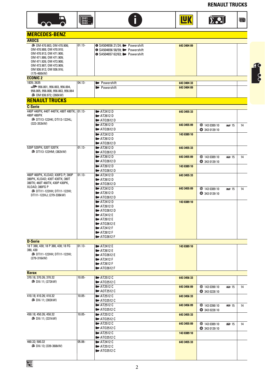**RENAULT TRUCKS**

画



OM 470.903; OM 470.906; OM 470.908; OM 470.910; OM 470.913; OM 471.900; OM 471.906; OM 471.909; OM 471.926; OM 473.900;

**MERCEDES-BENZ**

**AROCS**





01.13- **O SA504656 21/24; II** Powershift

SA504656 58/59; Powershift SA504657 62/63; Powershift



**643 3404 09**

# **10** 8

| OM 473.907; OM 473.909;                                  |           |                                                                   |             |                    |                   |    |
|----------------------------------------------------------|-----------|-------------------------------------------------------------------|-------------|--------------------|-------------------|----|
| OM 936.912; OM 936.916;                                  |           |                                                                   |             |                    |                   |    |
| (175-460kW)<br><b>ECONIC 2</b>                           |           |                                                                   |             |                    |                   |    |
| 1835; 2635                                               | $04.13 -$ |                                                                   |             |                    |                   |    |
|                                                          |           | <b>Powershift</b><br><b>Powershift</b>                            | 643 3404 33 |                    |                   |    |
| 956.005, 956.008, 956.063, 956.064                       |           |                                                                   | 643 3404 09 |                    |                   |    |
| ■ 0M 936.972; (260kW)                                    |           |                                                                   |             |                    |                   |    |
| <b>RENAULT TRUCKS</b>                                    |           |                                                                   |             |                    |                   |    |
|                                                          |           |                                                                   |             |                    |                   |    |
| <b>C-Serie</b>                                           |           |                                                                   |             |                    |                   |    |
| 440P 440PK: 440T 440TK: 480T 480TK: 01.13-<br>480P 480PK |           | $\blacktriangleright$ AT2412 D                                    | 643 3455 33 |                    |                   |    |
| ■ DTI13-122HK; DTI13-122HL;                              |           | $\blacktriangleright$ AT2612 D                                    |             |                    |                   |    |
| (323-353kW)                                              |           | <b>ID</b> AT02612 D                                               |             |                    |                   |    |
|                                                          |           | $\blacktriangleright$ AT2612 D<br>$\blacktriangleright$ AT02612 D | 643 3455 09 | <b>143 0389 10</b> | <b>DE2</b> 15     | 14 |
|                                                          |           |                                                                   |             | 343 0139 10        |                   |    |
|                                                          |           | $\blacktriangleright$ AT2412 D<br>$\blacktriangleright$ AT2612 D  | 143 0389 10 |                    |                   |    |
|                                                          |           | $\blacktriangleright$ AT02612 D                                   |             |                    |                   |    |
| 520P 520PK; 520T 520TK                                   | $01.13 -$ | $\blacktriangleright$ AT2612 D                                    | 643 3455 33 |                    |                   |    |
| ■ DTI13-122HM; (382kW)                                   |           | $\blacktriangleright$ AT02612 D                                   |             |                    |                   |    |
|                                                          |           | $\blacktriangleright$ AT2612 D                                    | 643 3455 09 | <b>143 0389 10</b> | <b>DE21 15</b>    | 14 |
|                                                          |           | $\blacktriangleright$ AT02612 D                                   |             | 343 0139 10        |                   |    |
|                                                          |           | $\rightarrow$ AT2612 D                                            | 143 0389 10 |                    |                   |    |
|                                                          |           | $\blacksquare$ AT02612 D                                          |             |                    |                   |    |
| 460P 460PK, XLOAD: 430FG P: 380P                         | $01.13 -$ | $\blacktriangleright$ AT2412 D                                    | 643 3455 33 |                    |                   |    |
| 380PK, XLOAD; 430T 430TK; 380T                           |           | $\blacktriangleright$ AT2612 D                                    |             |                    |                   |    |
| 380TK; 460T 460TK; 430P 430PK,                           |           | $\blacksquare$ AT02612 D                                          |             |                    |                   |    |
| XLOAD; 380FG P                                           |           | $\blacktriangleright$ AT2412 D                                    | 643 3455 09 | <b>143 0389 10</b> | <b>DE21</b> 15    | 14 |
| □ DTI11-122HH; DTI11-122HI;                              |           | $\blacktriangleright$ AT2612 D                                    |             | 343 0139 10        |                   |    |
| DTI11-122HJ; (279-338kW)                                 |           | $\blacktriangleright$ AT02612 D                                   |             |                    |                   |    |
|                                                          |           | $\blacktriangleright$ AT2412 D                                    | 143 0389 10 |                    |                   |    |
|                                                          |           | $\blacktriangleright$ AT2612 D                                    |             |                    |                   |    |
|                                                          |           | $\blacktriangleright$ AT02612 D                                   |             |                    |                   |    |
|                                                          |           | $\blacktriangleright$ AT2412 E                                    |             |                    |                   |    |
|                                                          |           | $\blacktriangleright$ AT2612 E                                    |             |                    |                   |    |
|                                                          |           | $\blacktriangleright$ AT02612 E                                   |             |                    |                   |    |
|                                                          |           | $\blacktriangleright$ AT2412 F                                    |             |                    |                   |    |
|                                                          |           | $\blacktriangleright$ AT2612 F                                    |             |                    |                   |    |
| <b>D-Serie</b>                                           |           | $\blacktriangleright$ AT02612 F                                   |             |                    |                   |    |
| 18 T 380, 430; 18 P 380, 430; 18 FG                      | $01.13 -$ |                                                                   |             |                    |                   |    |
| 380, 430                                                 |           | $\blacktriangleright$ AT2412 E<br>$\blacktriangleright$ AT2612 E  | 143 0389 10 |                    |                   |    |
| !■ DTI11-122HH; DTI11-122HI;                             |           | $\blacktriangleright$ AT02612 E                                   |             |                    |                   |    |
| (279-316kW)                                              |           | $\blacktriangleright$ AT2412 F                                    |             |                    |                   |    |
|                                                          |           | <b>ID</b> AT2612 F                                                |             |                    |                   |    |
|                                                          |           | <b>ID</b> AT02612 F                                               |             |                    |                   |    |
| <b>Kerax</b>                                             |           |                                                                   |             |                    |                   |    |
| 370.18; 370.26; 370.32                                   | $10.05 -$ | $\blacktriangleright$ AT2512 C                                    | 643 3456 33 |                    |                   |    |
| ■ DXi 11; (272kW)                                        |           | <b>ID</b> AT02512 C                                               |             |                    |                   |    |
|                                                          |           | $\blacktriangleright$ AT2512 C                                    | 643 3456 09 | <b>143 0390 10</b> | <b>DR2J</b> 15    | 14 |
|                                                          |           | <b>ID</b> A0T2512 C                                               |             | 343 0228 10        |                   |    |
| 410.18; 410.26; 410.32                                   | $10.05 -$ | $\blacktriangleright$ AT2512 C                                    | 643 3456 33 |                    |                   |    |
| ■ DXi 11; (302kW)                                        |           | <b>ID</b> AT02512 C                                               |             |                    |                   |    |
|                                                          |           | $\blacktriangleright$ AT2512 C                                    | 643 3456 09 | <b>143 0390 10</b> | <b>DESPENDENT</b> | 14 |
|                                                          |           | <b>ID</b> AT02512 C                                               |             | 343 0228 10        |                   |    |
| 450.18; 450.26; 450.32                                   | $10.05 -$ | $\blacktriangleright$ AT2512 C                                    | 643 3455 33 |                    |                   |    |
| ■ DXi 11; (331kW)                                        |           | <b>ID</b> AT02512 C                                               |             |                    |                   |    |
|                                                          |           | AT2512C                                                           | 643 3455 09 | <b>143 0389 10</b> | <b>DEST</b> 15    | 14 |
|                                                          |           | <b>ID</b> AT02512 C                                               |             | 343 0139 10        |                   |    |
|                                                          |           | $\blacktriangleright$ AT2512 C                                    | 143 0389 10 |                    |                   |    |
|                                                          |           | $\blacktriangleright$ AT02512 C                                   |             |                    |                   |    |
| 460.32; 500.32                                           | $05.06 -$ | $\blacktriangleright$ AT2412 C                                    | 643 3455 33 |                    |                   |    |
| ■ DXi 13; (339-368kW)                                    |           | $\blacksquare$ AT2512 C                                           |             |                    |                   |    |
|                                                          |           | <b>ID</b> AT02512 C                                               |             |                    |                   |    |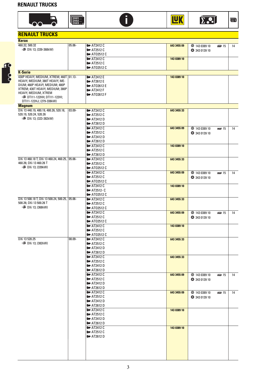#### **RENAULT TRUCKS**











| <b>RENAULT TRUCKS</b>                          |           |                                                                  |             |                    |                  |    |
|------------------------------------------------|-----------|------------------------------------------------------------------|-------------|--------------------|------------------|----|
| <b>Kerax</b>                                   |           |                                                                  |             |                    |                  |    |
| 460.32; 500.32                                 | $05.06 -$ | $\blacktriangleright$ AT2412 C                                   | 643 3455 09 | <b>143 0389 10</b> | 图 15             | 14 |
| ■ DXi 13; (339-368kW)                          |           | $\blacktriangleright$ AT2512 C                                   |             | <b>343 0139 10</b> |                  |    |
|                                                |           | $\blacktriangleright$ AT02512 C                                  |             |                    |                  |    |
|                                                |           | $\blacktriangleright$ AT2412 C                                   | 143 0389 10 |                    |                  |    |
|                                                |           | $\blacktriangleright$ AT2512 C                                   |             |                    |                  |    |
|                                                |           | $\blacktriangleright$ AT02512 C                                  |             |                    |                  |    |
| <b>K-Serie</b>                                 |           |                                                                  |             |                    |                  |    |
| 430P HEAVY, MEDIUM, XTREM; 460T 01.13-         |           | $\blacktriangleright$ AT2412 E                                   | 143 0389 10 |                    |                  |    |
| HEAVY, MEDIUM; 380T HEAVY, ME-                 |           | $\blacktriangleright$ AT2612 E                                   |             |                    |                  |    |
| DIUM; 460P HEAVY, MEDIUM; 480P                 |           | $\blacktriangleright$ AT02612 E                                  |             |                    |                  |    |
| XTREM; 430T HEAVY, MEDIUM; 380P                |           | $\blacktriangleright$ AT2412 F                                   |             |                    |                  |    |
| HEAVY, MEDIUM, XTREM                           |           | <b>ID</b> AT02612 F                                              |             |                    |                  |    |
| ■ DTI11-122HH; DTI11-122HI;                    |           |                                                                  |             |                    |                  |    |
| DTI11-122HJ; (279-338kW)                       |           |                                                                  |             |                    |                  |    |
| <b>Magnum</b>                                  |           |                                                                  |             |                    |                  |    |
| DXi 13 440.19, 480.19, 480.26, 520.18,         | $03.09 -$ | $\blacktriangleright$ AT2412 C                                   | 643 3455 33 |                    |                  |    |
| 520.19, 520.24, 520.26                         |           | $\blacktriangleright$ AT2512 C                                   |             |                    |                  |    |
| ■ DXi 13; (323-382kW)                          |           | $\blacktriangleright$ AT2412 D                                   |             |                    |                  |    |
|                                                |           | $\blacktriangleright$ AT2612 D                                   |             |                    |                  |    |
|                                                |           | $\blacktriangleright$ AT2412 C                                   | 643 3455 09 | <b>143 0389 10</b> | <b>DE2</b> 15    | 14 |
|                                                |           | $\blacktriangleright$ AT2512 C                                   |             | 343 0139 10        |                  |    |
|                                                |           | $\blacktriangleright$ AT2412 D                                   |             |                    |                  |    |
|                                                |           | $\blacktriangleright$ AT2612 D                                   |             |                    |                  |    |
|                                                |           | $\blacktriangleright$ AT2412 C                                   | 143 0389 10 |                    |                  |    |
|                                                |           | $\blacktriangleright$ AT2512 C                                   |             |                    |                  |    |
|                                                |           | $\blacktriangleright$ AT2612 D                                   |             |                    |                  |    |
| DXi 13 460.18 T, DXi 13 460.24, 460.25, 05.06- |           | $\blacktriangleright$ AT2412 C                                   | 643 3455 33 |                    |                  |    |
| 460.26; DXi 13 460.26 T                        |           | <b>I</b> ■ AT2512 C                                              |             |                    |                  |    |
| ■ DXi 13; (339kW)                              |           | $\blacktriangleright$ AT02512 C                                  |             |                    |                  |    |
|                                                |           | $\blacktriangleright$ AT2412 C                                   | 643 3455 09 | ● 143 0389 10      | <b>DRI</b> 15    | 14 |
|                                                |           | $\blacktriangleright$ AT2512 C                                   |             | <b>343 0139 10</b> |                  |    |
|                                                |           | $\blacktriangleright$ AT02512 C                                  |             |                    |                  |    |
|                                                |           | $\blacktriangleright$ AT2412 C                                   | 143 0389 10 |                    |                  |    |
|                                                |           | $\blacktriangleright$ AT2512-C                                   |             |                    |                  |    |
|                                                |           | <b>ID</b> AT02512 C                                              |             |                    |                  |    |
| DXi 13 500.18 T; DXi 13 500.24, 500.25, 05.06- |           | $\blacktriangleright$ AT2412 C                                   | 643 3455 33 |                    |                  |    |
| 500.26; DXi 13 500.26 T                        |           | $\blacktriangleright$ AT2512 C                                   |             |                    |                  |    |
| ■ DXi 13; (368kW)                              |           | <b>ID</b> AT02512 C                                              |             |                    |                  |    |
|                                                |           | $\blacktriangleright$ AT2412 C                                   | 643 3455 09 | ● 143 0389 10      | <b>DRI</b> 15    | 14 |
|                                                |           | $\blacktriangleright$ AT2512 C                                   |             | <b>343 0139 10</b> |                  |    |
|                                                |           | $\blacktriangleright$ AT02512 C                                  |             |                    |                  |    |
|                                                |           | $\blacktriangleright$ AT2412 C                                   | 143 0389 10 |                    |                  |    |
|                                                |           | $\blacktriangleright$ AT2512 C                                   |             |                    |                  |    |
|                                                |           | $\blacktriangleright$ AT02512 C                                  |             |                    |                  |    |
| DXi 13 520.25                                  | $08.09 -$ | $\blacktriangleright$ AT2412 C                                   | 643 3455 33 |                    |                  |    |
| ■ DXi 13; (382kW)                              |           | $\blacktriangleright$ AT2512 C                                   |             |                    |                  |    |
|                                                |           | $\blacktriangleright$ AT2412 D                                   |             |                    |                  |    |
|                                                |           | $\blacktriangleright$ AT2612 D                                   |             |                    |                  |    |
|                                                |           | $\blacktriangleright$ AT2412 C                                   | 643 3455 33 |                    |                  |    |
|                                                |           | $\blacktriangleright$ AT2512 C                                   |             |                    |                  |    |
|                                                |           | $\blacktriangleright$ AT2412 D                                   |             |                    |                  |    |
|                                                |           | $\blacktriangleright$ AT2612 D                                   |             |                    |                  |    |
|                                                |           | $\blacktriangleright$ AT2412 C                                   | 643 3455 09 | <b>143 0389 10</b> | <b>DRE</b> DI 15 | 14 |
|                                                |           | $\blacktriangleright$ AT2512 C                                   |             | <b>343 0139 10</b> |                  |    |
|                                                |           | $\blacktriangleright$ AT2412 D                                   |             |                    |                  |    |
|                                                |           | <b>D</b> AT2612 D                                                |             |                    |                  |    |
|                                                |           | $\blacktriangleright$ AT2412 C                                   | 643 3455 09 | <b>143 0389 10</b> | <b>DEP</b> 15    | 14 |
|                                                |           | $\blacktriangleright$ AT2512 C                                   |             | <b>343 0139 10</b> |                  |    |
|                                                |           | $\blacktriangleright$ AT2412 D                                   |             |                    |                  |    |
|                                                |           | $\blacktriangleright$ AT2612 D                                   |             |                    |                  |    |
|                                                |           | $\blacktriangleright$ AT2412 C                                   | 143 0389 10 |                    |                  |    |
|                                                |           | $\blacktriangleright$ AT2512 C                                   |             |                    |                  |    |
|                                                |           | $\blacktriangleright$ AT2412 D                                   |             |                    |                  |    |
|                                                |           | $\blacktriangleright$ AT2612 D                                   |             |                    |                  |    |
|                                                |           |                                                                  |             |                    |                  |    |
|                                                |           | $\blacktriangleright$ AT2412 C<br>$\blacktriangleright$ AT2512 C | 143 0389 10 |                    |                  |    |
|                                                |           | $\blacktriangleright$ AT2612 D                                   |             |                    |                  |    |
|                                                |           |                                                                  |             |                    |                  |    |
|                                                |           |                                                                  |             |                    |                  |    |
|                                                |           |                                                                  |             |                    |                  |    |
|                                                |           |                                                                  |             |                    |                  |    |
|                                                |           |                                                                  |             |                    |                  |    |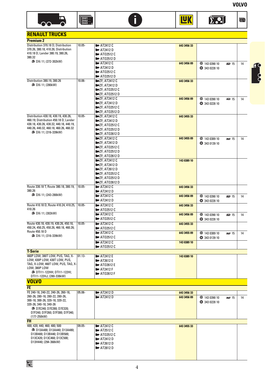





 $\sum$ ...  $\blacksquare$ 

**TAK** 

## **RENAULT TRUCKS**

| <b>Premium 2</b>                                                                 |           |                                                                   |             |                    |                  |    |
|----------------------------------------------------------------------------------|-----------|-------------------------------------------------------------------|-------------|--------------------|------------------|----|
| Distribution 370.18 D; Distribution                                              | $10.05 -$ | $\blacktriangleright$ AT2412 C                                    | 643 3456 33 |                    |                  |    |
| 370.26, 380.18, 410.26; Distribution                                             |           | $\blacktriangleright$ AT2412 D                                    |             |                    |                  |    |
| 410.18 D; Lander 380.19, 380.26,<br>380.32                                       |           | <b>ID</b> AT02512 C                                               |             |                    |                  |    |
| ■ DXi 11; (272-302kW)                                                            |           | $\blacktriangleright$ AT02512 D                                   |             |                    |                  |    |
|                                                                                  |           | $\blacktriangleright$ AT2412 C<br>$\blacktriangleright$ AT2412 D  | 643 3456 09 | <b>143 0390 10</b> | DE20 15          | 14 |
|                                                                                  |           | $\blacktriangleright$ AT02512 C                                   |             | 343 0228 10        |                  |    |
|                                                                                  |           | $\blacktriangleright$ AT02512 D                                   |             |                    |                  |    |
| Distribution 380.19, 380.26                                                      | $10.06 -$ | <b>ID-ZF; AT2412 C</b>                                            | 643 3456 33 |                    |                  |    |
| ■ DXi 11; (280kW)                                                                |           | $\blacktriangleright$ ZF; AT2412 D                                |             |                    |                  |    |
|                                                                                  |           | $\blacktriangleright$ ZF; AT02512 C                               |             |                    |                  |    |
|                                                                                  |           | <b>ID-ZF; AT02512 D</b>                                           |             |                    |                  |    |
|                                                                                  |           | $E = ZF$ : AT2412 C                                               | 643 3456 09 | <b>143 0390 10</b> | <b>DEPUTE</b> 15 | 14 |
|                                                                                  |           | $E = ZF$ : AT2412 D                                               |             | 343 0228 10        |                  |    |
|                                                                                  |           | <b>ID-ZF; ATO2512 C</b>                                           |             |                    |                  |    |
| Distribution 430.18, 430.19, 430.26,                                             | $10.05 -$ | $\square$ ezf; ato2512 d<br>$\blacktriangleright$ ZF; AT2412 C    | 643 3455 33 |                    |                  |    |
| 460.19; Distribution 450.18 D; Lander                                            |           | $\blacktriangleright$ $ZF$ ; AT2412 D                             |             |                    |                  |    |
| 430.18, 430.26, 430.32, 440.18, 440.19,                                          |           | $\square$ ZF; AT02512 C                                           |             |                    |                  |    |
| 440.26, 440.32, 460.18, 460.26, 460.32                                           |           | $\blacktriangleright$ 2F; AT02512 D                               |             |                    |                  |    |
| □■ DXi 11; (316-339kW)                                                           |           | $\square$ ezf; ato2612 d                                          |             |                    |                  |    |
|                                                                                  |           | $\blacksquare$ ZF: AT2412 C                                       | 643 3455 09 | <b>43 0389 10</b>  | 图 15             | 14 |
|                                                                                  |           | $\blacktriangleright$ ZF; AT2412 D                                |             | 343 0139 10        |                  |    |
|                                                                                  |           | <b>ID</b> ZF; AT02512 C                                           |             |                    |                  |    |
|                                                                                  |           | $\blacktriangleright$ ZF; AT02512 D                               |             |                    |                  |    |
|                                                                                  |           | <b>ID-ZF; AT02612 D</b>                                           |             |                    |                  |    |
|                                                                                  |           | $\blacktriangleright$ ZF; AT2412 C<br>$E = ZF$ : AT2412 D         | 143 0389 10 |                    |                  |    |
|                                                                                  |           | $\square$ ZF; AT 2612 D                                           |             |                    |                  |    |
|                                                                                  |           | $\blacktriangleright$ ZF; AT02512 C                               |             |                    |                  |    |
|                                                                                  |           | $\blacktriangleright$ ZF; AT02512 D                               |             |                    |                  |    |
|                                                                                  |           | $\square$ $ZF$ ; AT02612 D                                        |             |                    |                  |    |
| Route 330.18 T; Route 380.18, 380.19,                                            | $10.05 -$ | $\blacktriangleright$ AT2412 C                                    | 643 3456 33 |                    |                  |    |
| 380.26                                                                           |           | $\blacktriangleright$ AT2412 D                                    |             |                    |                  |    |
| ■ DXi 11; (243-280kW)                                                            |           | $\blacktriangleright$ AT2412 C                                    | 643 3456 09 | <b>143 0390 10</b> | ाया 15           | 14 |
|                                                                                  |           | $\blacktriangleright$ AT2412 D                                    |             | 343 0228 10        |                  |    |
| Route 410.18 D; Route 410.24, 410.25,                                            | $10.05 -$ | $\blacktriangleright$ AT2412 C                                    | 643 3456 33 |                    |                  |    |
| 410.26                                                                           |           | $\blacktriangleright$ AT02512 C                                   |             |                    |                  |    |
| ■ DXi 11; (302kW)                                                                |           | $\blacktriangleright$ AT2412 C                                    | 643 3456 09 | <b>143 0390 10</b> | 网 15             | 14 |
|                                                                                  |           | <b>ID</b> AT02512 C                                               |             | 343 0228 10        |                  |    |
| Route 430.18, 430.19, 430.26, 450.18,<br>450.24, 450.25, 450.26, 460.18, 460.26; | $10.05 -$ | $\blacktriangleright$ AT2412 C                                    | 643 3455 33 |                    |                  |    |
| Route 450.18 D                                                                   |           | $\blacktriangleright$ AT02512 C<br>$\blacktriangleright$ AT2412 C | 643 3455 09 |                    |                  |    |
| ■ DXi 11; (316-339kW)                                                            |           | <b>I</b> ■ AT02512 C                                              |             | <b>43 0389 10</b>  | <b>DEP</b> 15    | 14 |
|                                                                                  |           | $\blacktriangleright$ AT2412 C                                    | 143 0389 10 | <b>343 0139 10</b> |                  |    |
|                                                                                  |           | <b>ID</b> AT02512 C                                               |             |                    |                  |    |
| <b>T-Serie</b>                                                                   |           |                                                                   |             |                    |                  |    |
| 460P LOW; 380T LOW, PUS, TAG, X-                                                 | $01.13 -$ | $\blacktriangleright$ AT2412 E                                    | 143 0389 10 |                    |                  |    |
| LOW; 430P LOW; 430T LOW, PUS,                                                    |           | AT2612 E                                                          |             |                    |                  |    |
| TAG, X-LOW; 460T LOW, PUS, TAG, X-                                               |           | $\blacktriangleright$ AT02612 E                                   |             |                    |                  |    |
| LOW; 380P LOW<br><sup>1</sup> DTI11-122HH; DTI11-122HI;                          |           | $\blacktriangleright$ AT2412 F                                    |             |                    |                  |    |
| DTI11-122HJ; (280-338kW)                                                         |           | $\blacktriangleright$ AT02612 F                                   |             |                    |                  |    |
| <b>VOLVO</b>                                                                     |           |                                                                   |             |                    |                  |    |
|                                                                                  |           |                                                                   |             |                    |                  |    |
| <b>FE</b>                                                                        |           |                                                                   |             |                    |                  |    |
| FE 240-18, 240-22, 240-26, 260-18,<br>260-26, 280-18, 280-22, 280-26,            | $05.06 -$ | $\blacktriangleright$ AT2412 D<br>$\blacktriangleright$ AT2412 D  | 643 3456 33 |                    |                  |    |
| 300-18, 300-26, 320-18, 320-22,                                                  |           |                                                                   | 643 3456 09 | 290 143 0390 10    | <u>என</u> 15     | 14 |
| 320-26, 340-18, 340-26                                                           |           |                                                                   |             | 343 0228 10        |                  |    |
| ■ D7E240; D7E280; D7E320;                                                        |           |                                                                   |             |                    |                  |    |
| D7F240; D7F260; D7F300; D7F340;                                                  |           |                                                                   |             |                    |                  |    |
| (177-250kW)<br><b>FH</b>                                                         |           |                                                                   |             |                    |                  |    |
| 400; 420; 440; 460; 480; 500                                                     | $09.05 -$ | $\blacktriangleright$ AT2412 C                                    | 643 3455 33 |                    |                  |    |
| ■ D13A400; D13A440; D13A480;                                                     |           | $\blacktriangleright$ AT2512 C                                    |             |                    |                  |    |
| D13B400; D13B440; D13B500;                                                       |           | <b>ID</b> AT02512 C                                               |             |                    |                  |    |
| D13C420; D13C460; D13C500;                                                       |           | $\blacktriangleright$ AT2412 D                                    |             |                    |                  |    |
| D13H440; (294-368kW)                                                             |           | $\blacktriangleright$ AT2612 D                                    |             |                    |                  |    |
|                                                                                  |           | $\blacktriangleright$ AT2812 D                                    |             |                    |                  |    |
|                                                                                  |           |                                                                   |             |                    |                  |    |
|                                                                                  |           |                                                                   |             |                    |                  |    |

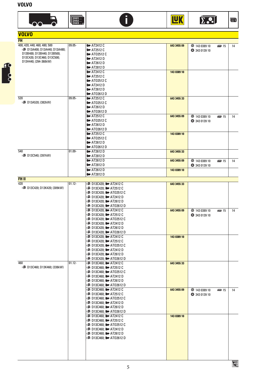| <b>VOLVO</b>                                       |           |                                 |             |                     |                  |    |
|----------------------------------------------------|-----------|---------------------------------|-------------|---------------------|------------------|----|
| <b>FH</b>                                          |           |                                 |             |                     |                  |    |
| 400; 420; 440; 460; 480; 500                       | $09.05 -$ | $\blacktriangleright$ AT2412 C  | 643 3455 09 | <b>143 0389 10</b>  | 图 15             | 14 |
| □■ D13A400; D13A440; D13A480;                      |           | $\blacktriangleright$ AT2512 C  |             | <b>343 0139 10</b>  |                  |    |
| D13B400; D13B440; D13B500;                         |           | $\blacktriangleright$ AT02512 C |             |                     |                  |    |
| D13C420; D13C460; D13C500;<br>D13H440; (294-368kW) |           | $\blacktriangleright$ AT2412 D  |             |                     |                  |    |
|                                                    |           | $\blacktriangleright$ AT2612 D  |             |                     |                  |    |
|                                                    |           | $\blacktriangleright$ AT2812 D  |             |                     |                  |    |
|                                                    |           | $\blacktriangleright$ AT2412 C  | 143 0389 10 |                     |                  |    |
|                                                    |           | $\blacktriangleright$ AT2512 C  |             |                     |                  |    |
|                                                    |           | $\blacktriangleright$ AT02512 C |             |                     |                  |    |
|                                                    |           | $\blacktriangleright$ AT2412 D  |             |                     |                  |    |
|                                                    |           | $\blacktriangleright$ AT2612 D  |             |                     |                  |    |
|                                                    |           | $\blacktriangleright$ AT02612 D |             |                     |                  |    |
| 520                                                | 09.05-    | $\blacktriangleright$ AT2512 C  | 643 3455 33 |                     |                  |    |
| ■ D13A520; (382kW)                                 |           | $\blacktriangleright$ AT02512 C |             |                     |                  |    |
|                                                    |           | $\blacktriangleright$ AT2612 D  |             |                     |                  |    |
|                                                    |           | $\blacktriangleright$ AT02612 D |             |                     |                  |    |
|                                                    |           | $\blacktriangleright$ AT2512 C  | 643 3455 09 | <b>143 0389 10</b>  | <b>DRE</b> ID 15 | 14 |
|                                                    |           | <b>ID</b> AT02512 C             |             | <b>343 0139 10</b>  |                  |    |
|                                                    |           | $\blacktriangleright$ AT2612 D  |             |                     |                  |    |
|                                                    |           | <b>ID</b> AT02612 D             |             |                     |                  |    |
|                                                    |           | $\blacktriangleright$ AT2512 C  | 143 0389 10 |                     |                  |    |
|                                                    |           | $\blacktriangleright$ AT02512 C |             |                     |                  |    |
|                                                    |           | $\blacktriangleright$ AT2612 D  |             |                     |                  |    |
|                                                    |           | $\blacktriangleright$ AT02612 D |             |                     |                  |    |
| 540                                                | $01.09 -$ | $\blacktriangleright$ AT2612 D  | 643 3455 33 |                     |                  |    |
| ■ D13C540; (397kW)                                 |           | $\blacktriangleright$ AT2812 D  |             |                     |                  |    |
|                                                    |           | $\blacktriangleright$ AT2612 D  | 643 3455 09 | <b></b> 143 0389 10 | <b>DESI</b> 15   | 14 |
|                                                    |           | $\blacktriangleright$ AT2812 D  |             | <b>343 0139 10</b>  |                  |    |
|                                                    |           | $\blacktriangleright$ AT2612 D  | 143 0389 10 |                     |                  |    |
|                                                    |           | $\blacktriangleright$ AT2812 D  |             |                     |                  |    |
| <b>FH II</b>                                       |           |                                 |             |                     |                  |    |
| $\overline{420}$                                   | $01.12 -$ |                                 | 643 3455 33 |                     |                  |    |
| ■ D13C420; D13K420; (309kW)                        |           |                                 |             |                     |                  |    |
|                                                    |           |                                 |             |                     |                  |    |
|                                                    |           | DI3C420; Del AT2412 D           |             |                     |                  |    |
|                                                    |           | DI3C420; DI3C420; DI AT2612 D   |             |                     |                  |    |
|                                                    |           |                                 |             |                     |                  |    |
|                                                    |           |                                 | 643 3455 09 | <b>143 0389 10</b>  | <b>DE21</b> 15   | 14 |
|                                                    |           |                                 |             | 343 0139 10         |                  |    |
|                                                    |           |                                 |             |                     |                  |    |
|                                                    |           |                                 |             |                     |                  |    |
|                                                    |           |                                 |             |                     |                  |    |
|                                                    |           |                                 |             |                     |                  |    |
|                                                    |           |                                 | 143 0389 10 |                     |                  |    |
|                                                    |           | D13C420; DITE-AT2512 C          |             |                     |                  |    |
|                                                    |           |                                 |             |                     |                  |    |
|                                                    |           | DE D13C420; III AT2412 D        |             |                     |                  |    |
|                                                    |           | !≣ D13C420; III≡ AT2612 D       |             |                     |                  |    |
|                                                    |           |                                 |             |                     |                  |    |
| 460                                                | $01.12 -$ |                                 | 643 3455 33 |                     |                  |    |
| □ D13C460; D13K460; (338kW)                        |           |                                 |             |                     |                  |    |
|                                                    |           |                                 |             |                     |                  |    |
|                                                    |           |                                 |             |                     |                  |    |
|                                                    |           | DE D13C460; III AT2612 D        |             |                     |                  |    |
|                                                    |           |                                 |             |                     |                  |    |
|                                                    |           |                                 | 643 3455 09 | <b>143 0389 10</b>  | <b>DRI</b> 15    | 14 |
|                                                    |           |                                 |             | <b>343 0139 10</b>  |                  |    |
|                                                    |           |                                 |             |                     |                  |    |
|                                                    |           | D13C460; D= AT2412 D="          |             |                     |                  |    |
|                                                    |           |                                 |             |                     |                  |    |
|                                                    |           |                                 |             |                     |                  |    |
|                                                    |           |                                 | 143 0389 10 |                     |                  |    |
|                                                    |           |                                 |             |                     |                  |    |
|                                                    |           |                                 |             |                     |                  |    |
|                                                    |           | D13C460; D= AT2412 D= 0         |             |                     |                  |    |
|                                                    |           |                                 |             |                     |                  |    |
|                                                    |           |                                 |             |                     |                  |    |
|                                                    |           |                                 |             |                     |                  |    |
|                                                    |           |                                 |             |                     |                  |    |
|                                                    |           |                                 |             |                     |                  |    |
|                                                    |           |                                 |             |                     |                  |    |
|                                                    |           |                                 |             |                     |                  |    |
|                                                    |           | 5                               |             |                     |                  | 圉  |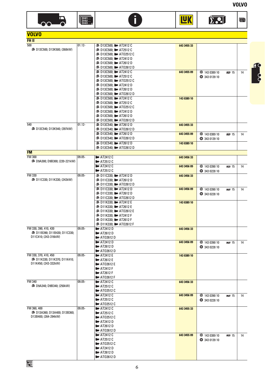





**TAK** 

D

| <b>D. 21</b> | $\overline{=1}$ |
|--------------|-----------------|
|              |                 |
|              |                 |
|              |                 |
|              |                 |

| <b>VOLVO</b>                                          |           |                                                                   |             |                    |                 |    |
|-------------------------------------------------------|-----------|-------------------------------------------------------------------|-------------|--------------------|-----------------|----|
| FH II                                                 |           |                                                                   |             |                    |                 |    |
| 500                                                   | $01.12 -$ | D■ D13C500; D■ AT2412 C                                           | 643 3455 33 |                    |                 |    |
| ■ D13C500; D13K500; (368kW)                           |           | DE D13C500; De AT2512 C                                           |             |                    |                 |    |
|                                                       |           |                                                                   |             |                    |                 |    |
|                                                       |           | <b>■ D13C500; ■ AT2412 D</b>                                      |             |                    |                 |    |
|                                                       |           | ■ D13C500; ■ AT2612 D                                             |             |                    |                 |    |
|                                                       |           |                                                                   |             |                    |                 |    |
|                                                       |           |                                                                   | 643 3455 09 | <b>143 0389 10</b> | <b>DRI</b> 15   | 14 |
|                                                       |           |                                                                   |             | <b>343 0139 10</b> |                 |    |
|                                                       |           |                                                                   |             |                    |                 |    |
|                                                       |           |                                                                   |             |                    |                 |    |
|                                                       |           |                                                                   |             |                    |                 |    |
|                                                       |           |                                                                   |             |                    |                 |    |
|                                                       |           | <b>■ D13C500; ■ AT2412 C</b>                                      | 143 0389 10 |                    |                 |    |
|                                                       |           |                                                                   |             |                    |                 |    |
|                                                       |           |                                                                   |             |                    |                 |    |
|                                                       |           | DE D13C500; D= AT2412 D                                           |             |                    |                 |    |
|                                                       |           |                                                                   |             |                    |                 |    |
|                                                       |           |                                                                   |             |                    |                 |    |
| 540                                                   | $01.12 -$ | Ddi D13C540; III AT2612 D                                         | 643 3455 33 |                    |                 |    |
| □■ D13C540; D13K540; (397kW)                          |           |                                                                   |             |                    |                 |    |
|                                                       |           | D를 D13C540; De AT2612 D                                           | 643 3455 09 | <b>143 0389 10</b> | ®⊠I15           | 14 |
|                                                       |           |                                                                   |             | 343 0139 10        |                 |    |
|                                                       |           | <b>■ D13C540: ■ AT2612 D</b>                                      | 143 0389 10 |                    |                 |    |
|                                                       |           |                                                                   |             |                    |                 |    |
| <b>FM</b>                                             |           |                                                                   |             |                    |                 |    |
| <b>FM 300</b>                                         | $09.05 -$ | $\blacktriangleright$ AT2412 C                                    | 643 3456 33 |                    |                 |    |
| ■ D9A300; D9B300; (220-221kW)                         |           | $\blacktriangleright$ AT2512 C                                    |             |                    |                 |    |
|                                                       |           | $\blacktriangleright$ AT2412 C                                    | 643 3456 09 | <b>143 0390 10</b> | <b>DREAD</b> 15 | 14 |
|                                                       |           | $\blacktriangleright$ AT2512 C                                    |             | 343 0228 10        |                 |    |
| FM 330                                                | $09.05 -$ | <b>■ D11C330; ■ AT2412 D</b>                                      | 643 3456 33 |                    |                 |    |
| ■ D11C330; D11K330; (243kW)                           |           | ⊫ D11C330; ⊪ AT2612 D                                             |             |                    |                 |    |
|                                                       |           |                                                                   |             |                    |                 |    |
|                                                       |           | DE D11C330; DI AT2412 D                                           | 643 3456 09 | <b>143 0390 10</b> | <b>DE21 15</b>  | 14 |
|                                                       |           | DI1C330; Del AT2612 D                                             |             | 343 0228 10        |                 |    |
|                                                       |           |                                                                   |             |                    |                 |    |
|                                                       |           | DI1K330; DI1K330; DI AT2412 E                                     | 143 0389 10 |                    |                 |    |
|                                                       |           | DI1K330; DI1K330; De AT2612 E                                     |             |                    |                 |    |
|                                                       |           |                                                                   |             |                    |                 |    |
|                                                       |           |                                                                   |             |                    |                 |    |
|                                                       |           |                                                                   |             |                    |                 |    |
|                                                       |           |                                                                   |             |                    |                 |    |
| FM 330, 390, 410, 430                                 | $09.05 -$ | $\blacktriangleright$ AT2412 D                                    | 643 3456 33 |                    |                 |    |
| i■ D11B390; D11B430; D11C330;<br>D11C410; (243-316kW) |           | <b>ID</b> AT2612 D                                                |             |                    |                 |    |
|                                                       |           | $\blacktriangleright$ AT02612 D                                   |             |                    |                 |    |
|                                                       |           | $\blacktriangleright$ AT2412 D                                    | 643 3456 09 | <b>143 0390 10</b> | <b>DESPEITS</b> | 14 |
|                                                       |           | $\blacktriangleright$ AT2612 D                                    |             | 343 0228 10        |                 |    |
|                                                       |           | $\blacktriangleright$ AT02612 D                                   |             |                    |                 |    |
| FM 330, 370, 410, 450                                 | $09.05 -$ | $\blacktriangleright$ AT2412 E                                    | 143 0389 10 |                    |                 |    |
| ■ D11K330; D11K370; D11K410;<br>D11K450; (243-332kW)  |           | $\blacktriangleright$ AT2612 E                                    |             |                    |                 |    |
|                                                       |           | $\blacktriangleright$ AT02612 E                                   |             |                    |                 |    |
|                                                       |           | $\blacktriangleright$ AT2412 F<br><b>ID</b> AT2612 F              |             |                    |                 |    |
|                                                       |           |                                                                   |             |                    |                 |    |
| FM 340                                                | $09.05 -$ | $\blacktriangleright$ AT02612 F<br>$\blacktriangleright$ AT2412 C |             |                    |                 |    |
| ⊪■ D9A340; D9B340; (250kW)                            |           |                                                                   | 643 3456 33 |                    |                 |    |
|                                                       |           | $\blacktriangleright$ AT2512 C<br>$\blacktriangleright$ AT02512 C |             |                    |                 |    |
|                                                       |           | $\blacktriangleright$ AT2412 C                                    |             |                    |                 |    |
|                                                       |           | $\blacktriangleright$ AT2512 C                                    | 643 3456 09 | <b>143 0390 10</b> | <b>DESPEITS</b> | 14 |
|                                                       |           |                                                                   |             | 343 0228 10        |                 |    |
| FM 360, 400                                           | $09.05 -$ | $\blacktriangleright$ AT02512 C                                   | 643 3455 33 |                    |                 |    |
| ■ D13A360; D13A400; D13B360;                          |           | $\blacktriangleright$ AT2412 C                                    |             |                    |                 |    |
| D13B400; (264-294kW)                                  |           | $\blacktriangleright$ AT2512 C                                    |             |                    |                 |    |
|                                                       |           | $\blacktriangleright$ AT02512 C<br>$\blacktriangleright$ AT2412 D |             |                    |                 |    |
|                                                       |           | $\blacktriangleright$ AT2612 D                                    |             |                    |                 |    |
|                                                       |           | $\blacktriangleright$ AT02612 D                                   |             |                    |                 |    |
|                                                       |           | $\blacktriangleright$ AT2412 C                                    |             |                    |                 |    |
|                                                       |           | $\blacktriangleright$ AT2512 C                                    | 643 3455 09 | <b>143 0389 10</b> | <b>DE2J</b> 15  | 14 |
|                                                       |           | $\blacktriangleright$ AT02512 C                                   |             | <b>343 0139 10</b> |                 |    |
|                                                       |           | $\blacktriangleright$ AT2412 D                                    |             |                    |                 |    |
|                                                       |           | $\blacktriangleright$ AT2612 D                                    |             |                    |                 |    |
|                                                       |           |                                                                   |             |                    |                 |    |

ATO2612 D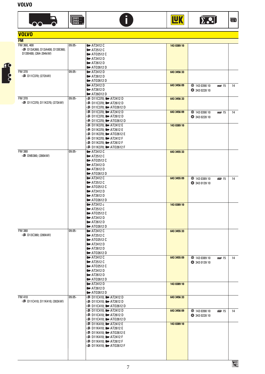

| <b>VOLVO</b>                 |           |                                                                   |             |                                        |    |
|------------------------------|-----------|-------------------------------------------------------------------|-------------|----------------------------------------|----|
| <b>FM</b>                    |           |                                                                   |             |                                        |    |
| FM 360, 400                  | $09.05 -$ | $\overline{\phantom{2}}$ AT2412 C                                 | 143 0389 10 |                                        |    |
| ■ D13A360; D13A400; D13B360; |           | $\blacktriangleright$ AT2512 C                                    |             |                                        |    |
| D13B400; (264-294kW)         |           | $\blacktriangleright$ AT02512 C                                   |             |                                        |    |
|                              |           | $\blacksquare$ AT2412 D                                           |             |                                        |    |
|                              |           | $\blacktriangleright$ AT2612 D                                    |             |                                        |    |
|                              |           | $\blacktriangleright$ AT02612 D                                   |             |                                        |    |
| <b>FM 370</b>                | 09.05-    | $\blacktriangleright$ AT2412 D                                    | 643 3456 33 |                                        |    |
| ■ D11C370; (272kW)           |           | $\blacktriangleright$ AT2612 D                                    |             |                                        |    |
|                              |           | $\blacktriangleright$ AT02612 D                                   |             |                                        |    |
|                              |           | $\blacktriangleright$ AT2412 D                                    | 643 3456 09 | ● 143 0390 10<br><b>DEPL</b> 15        | 14 |
|                              |           | $\blacktriangleright$ AT2612 D                                    |             | 343 0228 10                            |    |
|                              |           | $\blacktriangleright$ AT26012 D                                   |             |                                        |    |
| <b>FM 370</b>                | 09.05-    |                                                                   | 643 3456 33 |                                        |    |
| □ D11C370; D11K370; (272kW)  |           |                                                                   |             |                                        |    |
|                              |           |                                                                   |             |                                        |    |
|                              |           | <b>■ D11C370; ■ AT2412 D</b>                                      | 643 3456 09 | <b>143 0390 10</b><br><b>DEPUTE</b> 15 | 14 |
|                              |           | D■ D11C370; D AT02612 D                                           |             | 343 0228 10                            |    |
|                              |           | <b>■ D11K370; ■ AT2412 E</b>                                      |             |                                        |    |
|                              |           | <b>India D11K370; III</b> AT2612 E                                | 143 0389 10 |                                        |    |
|                              |           |                                                                   |             |                                        |    |
|                              |           |                                                                   |             |                                        |    |
|                              |           |                                                                   |             |                                        |    |
|                              |           |                                                                   |             |                                        |    |
| <b>FM 380</b>                | $09.05 -$ | $\blacktriangleright$ AT2412 C                                    | 643 3455 33 |                                        |    |
| ■ D9B380; (280kW)            |           | $\blacktriangleright$ AT2512 C                                    |             |                                        |    |
|                              |           | $\blacktriangleright$ AT02512 C                                   |             |                                        |    |
|                              |           | $\blacktriangleright$ AT2412 D                                    |             |                                        |    |
|                              |           | $\blacktriangleright$ AT2612 D                                    |             |                                        |    |
|                              |           | $\blacktriangleright$ AT02612 D                                   |             |                                        |    |
|                              |           | $\blacktriangleright$ AT2412 C                                    | 643 3455 09 | <b>43 0389 10</b><br><b>DE21 15</b>    | 14 |
|                              |           | $\blacktriangleright$ AT2512 C                                    |             | <b>343 0139 10</b>                     |    |
|                              |           | $\blacktriangleright$ AT02512 C                                   |             |                                        |    |
|                              |           | $\blacktriangleright$ AT2412 D                                    |             |                                        |    |
|                              |           | $\blacktriangleright$ AT2612 D                                    |             |                                        |    |
|                              |           | $\blacktriangleright$ AT02612 D                                   |             |                                        |    |
|                              |           | $\blacktriangleright$ AT2412 c                                    | 143 0389 10 |                                        |    |
|                              |           | $\blacktriangleright$ AT2512 C                                    |             |                                        |    |
|                              |           | $\blacktriangleright$ AT02512 C                                   |             |                                        |    |
|                              |           | $\blacktriangleright$ AT2412 D                                    |             |                                        |    |
|                              |           | $\blacktriangleright$ AT2612 D                                    |             |                                        |    |
|                              |           | $\blacktriangleright$ AT02612 D                                   |             |                                        |    |
| <b>FM 380</b>                | $09.05 -$ | $\mathbf{F}$ AT2412 C                                             | 643 3455 33 |                                        |    |
| ■ D13C380; (280kW)           |           | $\blacktriangleright$ AT2512 C                                    |             |                                        |    |
|                              |           | $\blacktriangleright$ AT02512 C<br>$\blacktriangleright$ AT2412 D |             |                                        |    |
|                              |           | $\blacktriangleright$ AT2612 D                                    |             |                                        |    |
|                              |           | $\blacktriangleright$ AT02612 D                                   |             |                                        |    |
|                              |           | $\blacktriangleright$ AT2412 C                                    | 643 3455 09 | <b>143 0389 10</b><br><b>DR2U</b> 15   | 14 |
|                              |           | $\blacktriangleright$ AT2512 C                                    |             | <b>343 0139 10</b>                     |    |
|                              |           | $\blacktriangleright$ AT02512 C                                   |             |                                        |    |
|                              |           | $\blacktriangleright$ AT2412 D                                    |             |                                        |    |
|                              |           | $\blacktriangleright$ AT2612 D                                    |             |                                        |    |
|                              |           | $\blacktriangleright$ AT02612 D                                   |             |                                        |    |
|                              |           | $\blacktriangleright$ AT2412 D                                    | 143 0389 10 |                                        |    |
|                              |           | $\blacktriangleright$ AT2612 D                                    |             |                                        |    |
|                              |           | <b>ID</b> AT02612 D                                               |             |                                        |    |
| <b>FM 410</b>                | $09.05 -$ | <b>■ D11C410; ■ AT2412 D</b>                                      | 643 3456 33 |                                        |    |
| ■ D11C410; D11K410; (302kW)  |           |                                                                   |             |                                        |    |
|                              |           |                                                                   |             |                                        |    |
|                              |           | <b>■ D11C410; ■ AT2412 D</b>                                      | 643 3456 09 | <b>143 0390 10</b><br>图 15             | 14 |
|                              |           |                                                                   |             | 343 0228 10                            |    |
|                              |           | ■ D11C410; ● AT02612 D                                            |             |                                        |    |
|                              |           |                                                                   | 143 0389 10 |                                        |    |
|                              |           |                                                                   |             |                                        |    |
|                              |           | <b>■ D11K410; ■ AT02612 E</b>                                     |             |                                        |    |
|                              |           |                                                                   |             |                                        |    |
|                              |           |                                                                   |             |                                        |    |
|                              |           |                                                                   |             |                                        |    |
|                              |           |                                                                   |             |                                        |    |



N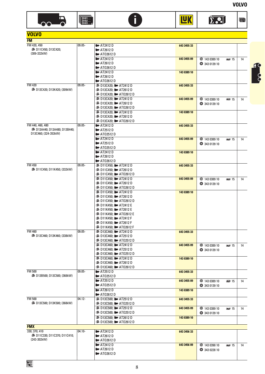





**TAK** 

| <b>VOLVO</b>                                  |           |                                                                   |             |                                          |                 |    |
|-----------------------------------------------|-----------|-------------------------------------------------------------------|-------------|------------------------------------------|-----------------|----|
| <b>FM</b>                                     |           |                                                                   |             |                                          |                 |    |
| FM 420, 450                                   | $09.05 -$ | $\blacktriangleright$ AT2412 D                                    | 643 3455 33 |                                          |                 |    |
| ■ D11C450; D13C420;                           |           | $\blacktriangleright$ AT2612 D                                    |             |                                          |                 |    |
| (309-332kW)                                   |           | $\blacktriangleright$ AT02612 D<br>$\blacktriangleright$ AT2412 D |             |                                          |                 |    |
|                                               |           | $\blacktriangleright$ AT2612 D                                    | 643 3455 09 | <b>143 0389 10</b><br><b>343 0139 10</b> | 图 15            | 14 |
|                                               |           | $\blacksquare$ AT02612 D                                          |             |                                          |                 |    |
|                                               |           | $\blacktriangleright$ AT2412 D                                    | 143 0389 10 |                                          |                 |    |
|                                               |           | $\blacktriangleright$ AT2612 D                                    |             |                                          |                 |    |
|                                               |           | $\blacktriangleright$ AT02612 D                                   |             |                                          |                 |    |
| <b>FM 420</b><br>□■ D13C420; D13K420; (309kW) | $09.05 -$ | <b>■ D13C420; ■ AT2412 D</b><br>D= D13C420; D= AT2612 D           | 643 3455 33 |                                          |                 |    |
|                                               |           |                                                                   |             |                                          |                 |    |
|                                               |           | Din D13C420; III AT2412 D                                         | 643 3455 09 | <b></b> 143 0389 10                      | <b>DE2J</b> 15  | 14 |
|                                               |           | D13C420; D= AT2612 D= 0.                                          |             | <b>343 0139 10</b>                       |                 |    |
|                                               |           |                                                                   |             |                                          |                 |    |
|                                               |           | <b>■ D13C420; ■ AT2412 D</b>                                      | 143 0389 10 |                                          |                 |    |
|                                               |           |                                                                   |             |                                          |                 |    |
| FM 440, 460, 480                              | $09.05 -$ | $\blacktriangleright$ AT2412 D                                    | 643 3455 33 |                                          |                 |    |
| ■ D13A440; D13A480; D13B440;                  |           | AT2512D                                                           |             |                                          |                 |    |
| D13C460; (324-353kW)                          |           | $\blacktriangleright$ AT02512 D                                   |             |                                          |                 |    |
|                                               |           | $\blacktriangleright$ AT2412 D                                    | 643 3455 09 | <b>143 0389 10</b>                       | <b>DESPEITS</b> | 14 |
|                                               |           | $\blacktriangleright$ AT2512 D<br>$\blacktriangleright$ AT02512 D |             | 343 0139 10                              |                 |    |
|                                               |           | $\blacktriangleright$ AT2412 D                                    | 143 0389 10 |                                          |                 |    |
|                                               |           | $\blacktriangleright$ AT2612 D                                    |             |                                          |                 |    |
|                                               |           | $\blacksquare$ AT02612 D                                          |             |                                          |                 |    |
| FM 450                                        | $09.05 -$ | !≣ D11C450; II AT2412 D                                           | 643 3455 33 |                                          |                 |    |
| □■ D11C450; D11K450; (332kW)                  |           |                                                                   |             |                                          |                 |    |
|                                               |           | D= D11C450; D= AT2412 D=                                          | 643 3455 09 | ● 143 0389 10                            | <b>DE21 15</b>  | 14 |
|                                               |           |                                                                   |             | 343 0139 10                              |                 |    |
|                                               |           | ■ D11C450; ■ AT02612 D                                            |             |                                          |                 |    |
|                                               |           | D= D11C450; D= AT2412 D=                                          | 143 0389 10 |                                          |                 |    |
|                                               |           |                                                                   |             |                                          |                 |    |
|                                               |           | D= D11K450; D= AT2412 E                                           |             |                                          |                 |    |
|                                               |           |                                                                   |             |                                          |                 |    |
|                                               |           |                                                                   |             |                                          |                 |    |
|                                               |           | <b>■ D11K450; ■ AT2412 F</b>                                      |             |                                          |                 |    |
|                                               |           | D11K450; D= AT2612 F                                              |             |                                          |                 |    |
| FM 460                                        | $09.05 -$ | D13C460; De AT2412 D                                              |             |                                          |                 |    |
| ■ D13C460; D13K460; (338kW)                   |           | DE D13C460; De AT2512 D                                           | 643 3455 33 |                                          |                 |    |
|                                               |           |                                                                   |             |                                          |                 |    |
|                                               |           | D■ D13C460; D AT2412 D                                            | 643 3455 09 | ● 143 0389 10                            | <b>DESPEITS</b> | 14 |
|                                               |           | DI3C460; DI3C460; De AT2512 D                                     |             | 343 0139 10                              |                 |    |
|                                               |           |                                                                   |             |                                          |                 |    |
|                                               |           | DI3C460; DI3C460; De AT2412 D<br>DI3C460; Del AT2612 D            | 143 0389 10 |                                          |                 |    |
|                                               |           |                                                                   |             |                                          |                 |    |
| <b>FM 500</b>                                 | 09.05-    | $\blacktriangleright$ AT2512 D                                    | 643 3455 33 |                                          |                 |    |
| ■ D13B500; D13C500; (368kW)                   |           | $\blacktriangleright$ AT02512 D                                   |             |                                          |                 |    |
|                                               |           | $\blacktriangleright$ AT2512 D                                    | 643 3455 09 | <b>4</b> 143 0389 10                     | <b>DE21 15</b>  | 14 |
|                                               |           | $\blacktriangleright$ AT02512 D                                   |             | <b>343 0139 10</b>                       |                 |    |
|                                               |           | $\blacktriangleright$ AT2612 D<br>$\blacksquare$ AT02612 D        | 143 0389 10 |                                          |                 |    |
| <b>FM 500</b>                                 | $04.12 -$ | <b>■ D13C500; ■ AT2512 D</b>                                      | 643 3455 33 |                                          |                 |    |
| ■ D13C500; D13K500; (368kW)                   |           |                                                                   |             |                                          |                 |    |
|                                               |           | DI3C500; DI3C500; DI=> AT2512 D                                   | 643 3455 09 | <b>143 0389 10</b>                       | <b>DRI</b> 15   | 14 |
|                                               |           |                                                                   |             | <b>343 0139 10</b>                       |                 |    |
|                                               |           | D■ D13C500; D AT2612 D                                            | 143 0389 10 |                                          |                 |    |
|                                               |           |                                                                   |             |                                          |                 |    |
| <b>FMX</b><br>330; 370; 410                   | $04.10 -$ | $\blacktriangleright$ AT2412 D                                    |             |                                          |                 |    |
| ■ D11C330; D11C370; D11C410;                  |           | $\blacktriangleright$ AT2612 D                                    | 643 3456 33 |                                          |                 |    |
| (243-302kW)                                   |           | $\blacktriangleright$ AT02612 D                                   |             |                                          |                 |    |
|                                               |           | $\blacktriangleright$ AT2412 D                                    | 643 3456 09 | <b>143 0390 10</b>                       | <b>DESD</b> 15  | 14 |
|                                               |           | $\blacktriangleright$ AT2612 D                                    |             | 343 0228 10                              |                 |    |
|                                               |           | $\blacktriangleright$ AT02612 D                                   |             |                                          |                 |    |
|                                               |           |                                                                   |             |                                          |                 |    |

**Foot**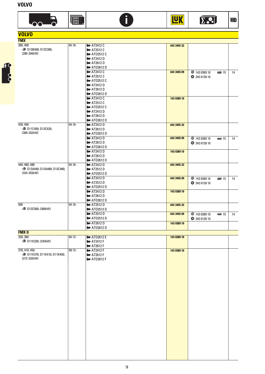

| <b>VOLVO</b>                                  |           |                                 |             |                    |                |    |
|-----------------------------------------------|-----------|---------------------------------|-------------|--------------------|----------------|----|
| <b>FMX</b>                                    |           |                                 |             |                    |                |    |
| 380; 400                                      | $04.10 -$ | $\blacktriangleright$ AT2412 C  | 643 3455 33 |                    |                |    |
| ■ D13B400; D13C380;<br>(280-294kW)            |           | $\blacktriangleright$ AT2512 C  |             |                    |                |    |
|                                               |           | $\blacktriangleright$ AT02512 C |             |                    |                |    |
|                                               |           | $\blacksquare$ AT2412 D         |             |                    |                |    |
|                                               |           | $\blacktriangleright$ AT2612 D  |             |                    |                |    |
|                                               |           | $\blacktriangleright$ AT02612 D |             |                    |                |    |
|                                               |           | $\blacktriangleright$ AT2412 C  | 643 3455 09 | <b>143 0389 10</b> | <b>DEP</b> 15  | 14 |
|                                               |           | $\blacktriangleright$ AT2512 C  |             | <b>343 0139 10</b> |                |    |
|                                               |           | <b>ID</b> AT02512 C             |             |                    |                |    |
|                                               |           | $\blacktriangleright$ AT2412 D  |             |                    |                |    |
|                                               |           | $\blacktriangleright$ AT2612 D  |             |                    |                |    |
|                                               |           | $\blacktriangleright$ AT02612 D |             |                    |                |    |
|                                               |           | $\blacktriangleright$ AT2412 C  | 143 0389 10 |                    |                |    |
|                                               |           | $\blacktriangleright$ AT2512 C  |             |                    |                |    |
|                                               |           | $\blacktriangleright$ AT02512 C |             |                    |                |    |
|                                               |           | $\blacktriangleright$ AT2412 D  |             |                    |                |    |
|                                               |           | $\blacktriangleright$ AT2612 D  |             |                    |                |    |
|                                               |           | $\blacksquare$ AT02612 D        |             |                    |                |    |
| 420; 450                                      | $04.10 -$ | $\blacktriangleright$ AT2412 D  | 643 3455 33 |                    |                |    |
| ■ D11C450; D13C420;                           |           | $\blacktriangleright$ AT2612 D  |             |                    |                |    |
| (309-332kW)                                   |           | $\blacktriangleright$ AT02612 D |             |                    |                |    |
|                                               |           | $\blacktriangleright$ AT2412 D  | 643 3455 09 | <b>143 0389 10</b> | <b>DE21</b> 15 | 14 |
|                                               |           | $\blacktriangleright$ AT2612 D  |             |                    |                |    |
|                                               |           | $\blacktriangleright$ AT02612 D |             | <b>343 0139 10</b> |                |    |
|                                               |           | $\blacktriangleright$ AT2412 D  | 143 0389 10 |                    |                |    |
|                                               |           | $\blacktriangleright$ AT2612 D  |             |                    |                |    |
|                                               |           |                                 |             |                    |                |    |
|                                               | $04.10 -$ | $\blacktriangleright$ AT02612 D |             |                    |                |    |
| 440; 460; 480<br>■ D13A440; D13A480; D13C460; |           | $\blacktriangleright$ AT2412 D  | 643 3455 33 |                    |                |    |
| (324-353kW)                                   |           | $\blacktriangleright$ AT2512 D  |             |                    |                |    |
|                                               |           | $\blacktriangleright$ AT02512 D |             |                    |                |    |
|                                               |           | $\blacktriangleright$ AT2412 D  | 643 3455 09 | <b>143 0389 10</b> | <b>DE21 15</b> | 14 |
|                                               |           | $\blacktriangleright$ AT2512 D  |             | 343 0139 10        |                |    |
|                                               |           | $\blacktriangleright$ AT02512 D |             |                    |                |    |
|                                               |           | $\blacktriangleright$ AT2412 D  | 143 0389 10 |                    |                |    |
|                                               |           | $\blacktriangleright$ AT2612 D  |             |                    |                |    |
|                                               |           | $\blacktriangleright$ AT02612 D |             |                    |                |    |
| 500                                           | $04.10 -$ | $\blacktriangleright$ AT2512 D  | 643 3455 33 |                    |                |    |
| ■ D13C500; (368kW)                            |           | $\blacktriangleright$ AT02512 D |             |                    |                |    |
|                                               |           | $\blacktriangleright$ AT2512 D  | 643 3455 09 | <b>143 0389 10</b> | <b>DESD15</b>  | 14 |
|                                               |           | <b>ID</b> AT02512 D             |             | <b>343 0139 10</b> |                |    |
|                                               |           | $\blacktriangleright$ AT2612 D  | 143 0389 10 |                    |                |    |
|                                               |           | <b>ID</b> AT02612 D             |             |                    |                |    |
| <b>FMX II</b>                                 |           |                                 |             |                    |                |    |
| 330; 380                                      | $04.12 -$ | <b>ID</b> AT02612 E             | 143 0389 10 |                    |                |    |
| ■ D11K330; (243kW)                            |           | $\blacktriangleright$ AT2412 F  |             |                    |                |    |
|                                               |           | <b>ID</b> AT2612 F              |             |                    |                |    |
| 370; 410; 450                                 | $09.13-$  | $\blacktriangleright$ AT2412 F  | 143 0389 10 |                    |                |    |
| ■ D11K370; D11K410; D11K450;                  |           | $\blacktriangleright$ AT2612 F  |             |                    |                |    |
| (272-332kW)                                   |           | $\blacktriangleright$ AT02612 F |             |                    |                |    |
|                                               |           |                                 |             |                    |                |    |
|                                               |           |                                 |             |                    |                |    |
|                                               |           |                                 |             |                    |                |    |
|                                               |           |                                 |             |                    |                |    |
|                                               |           |                                 |             |                    |                |    |
|                                               |           |                                 |             |                    |                |    |
|                                               |           |                                 |             |                    |                |    |

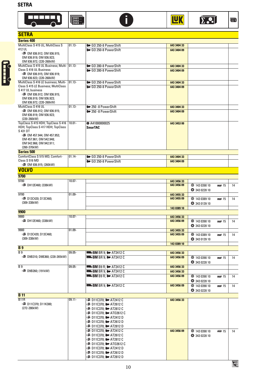









| <b>SETRA</b>                                             |           |                                                                                 |                            |                                      |    |
|----------------------------------------------------------|-----------|---------------------------------------------------------------------------------|----------------------------|--------------------------------------|----|
| <b>Series 400</b>                                        |           |                                                                                 |                            |                                      |    |
| MultiClass S 415 UL; MultiClass S                        | $01.13 -$ | I GO 250-8 PowerShift                                                           | 643 3404 33                |                                      |    |
| 412 UL                                                   |           | GO 250-8 PowerShift                                                             | 643 3404 09                |                                      |    |
| ■ OM 936.912; OM 936.915;                                |           |                                                                                 |                            |                                      |    |
| OM 936.919; OM 936.923;<br>OM 936.972; (220-260kW)       |           |                                                                                 |                            |                                      |    |
| MultiClass S 415 UL Business; Multi- 01.13-              |           | I GO 280-8 PowerShift                                                           | 643 3404 33                |                                      |    |
| Class S 416 UL Business                                  |           | <sup>1</sup> ■ GO 280-8 PowerShift                                              | 643 3404 09                |                                      |    |
| <b>I</b> OM 936.915; OM 936.919;                         |           |                                                                                 |                            |                                      |    |
| OM 936.923; (220-260kW)                                  |           |                                                                                 |                            |                                      |    |
| MultiClass S 416 LE business; Multi-                     | $01.13 -$ | I GO 250-8 PowerShift                                                           | 643 3404 33                |                                      |    |
| Class S 415 LE Business; MultiClass<br>S 417 UL business |           | GO 250-8 PowerShift                                                             | 643 3404 09                |                                      |    |
| ■ OM 936.912; OM 936.915;                                |           |                                                                                 |                            |                                      |    |
| OM 936.919; OM 936.923;                                  |           |                                                                                 |                            |                                      |    |
| OM 936.972; (220-260kW)                                  |           |                                                                                 |                            |                                      |    |
| MultiClass S 416 UL                                      | $01.13 -$ | I 250 - 8 PowerShift                                                            | 643 3404 33                |                                      |    |
| i≡ OM 936.912; OM 936.915;                               |           | 1 250 -8 PowerShift                                                             | 643 3404 09                |                                      |    |
| OM 936.919; OM 936.923;<br>(220-260kW)                   |           |                                                                                 |                            |                                      |    |
| TopClass S 415 HDH; TopClass S 416                       | $10.01 -$ | +0 A41000000025                                                                 | 643 3453 00                |                                      |    |
| HDH; TopClass S 417 HDH; TopClass                        |           | <b>SmarTAC</b>                                                                  |                            |                                      |    |
| S 431 DT                                                 |           |                                                                                 |                            |                                      |    |
| i≡ OM 457.944; OM 457.953;                               |           |                                                                                 |                            |                                      |    |
| OM 457.961; OM 542.948;                                  |           |                                                                                 |                            |                                      |    |
| OM 542.966; OM 942.911;                                  |           |                                                                                 |                            |                                      |    |
| (260-370kW)<br><b>Series 500</b>                         |           |                                                                                 |                            |                                      |    |
| ComfortClass S 515 MD; Comfort-                          | $01.14 -$ | <b>ID</b> GO 250-8 PowerShift                                                   | 643 3404 33                |                                      |    |
| Class S 516 MD                                           |           | <b>ID</b> GO 250-8 PowerShift                                                   | 643 3404 09                |                                      |    |
| ■ OM 936.915; (260kW)                                    |           |                                                                                 |                            |                                      |    |
| <b>VOLVO</b>                                             |           |                                                                                 |                            |                                      |    |
| 9700                                                     |           |                                                                                 |                            |                                      |    |
| 9700                                                     | $10.07 -$ |                                                                                 |                            |                                      |    |
| ■ DH12E460; (338kW)                                      |           |                                                                                 | 643 3456 33<br>643 3456 09 | <b>143 0390 10</b><br><b>DRI 15</b>  | 14 |
|                                                          |           |                                                                                 |                            | 343 0228 10                          |    |
| 9700                                                     | $01.09 -$ |                                                                                 | 643 3455 33                |                                      |    |
| ■ D13C420; D13C460;                                      |           |                                                                                 | 643 3455 09                | <b>143 0389 10</b><br><b>DRI</b> 15  | 14 |
| (309-338kW)                                              |           |                                                                                 |                            | <b>343 0139 10</b>                   |    |
|                                                          |           |                                                                                 | 143 0389 10                |                                      |    |
| 9900                                                     |           |                                                                                 |                            |                                      |    |
| 9900                                                     | $10.07 -$ |                                                                                 | 643 3456 33                |                                      |    |
| ■ DH12E460; (338kW)                                      |           |                                                                                 | 643 3456 09                | <b>143 0390 10</b><br><b>DRI 15</b>  | 14 |
|                                                          |           |                                                                                 |                            | 343 0228 10                          |    |
| 9900                                                     | $01.09 -$ |                                                                                 | 643 3455 33                |                                      |    |
| ■ D13C420; D13C460;<br>(309-338kW)                       |           |                                                                                 | 643 3455 09                | <b>143 0389 10</b><br><b>DRI</b> 15  | 14 |
|                                                          |           |                                                                                 |                            | <b>343 0139 10</b>                   |    |
|                                                          |           |                                                                                 | 143 0389 10                |                                      |    |
| <b>B</b> <sub>9</sub>                                    |           |                                                                                 |                            |                                      |    |
| $\overline{B9}$<br>□■ D9B310; D9B360; (228-265kW)        | $09.05 -$ | $\mathbb{R}$ BM BR 9; $\mathbb{I}$ AT2412 C<br><b>REAR BM BR 9; ID AT2412 C</b> | 643 3456 33                |                                      |    |
|                                                          |           |                                                                                 | 643 3456 09                | 143 0390 10<br>图 15                  | 14 |
|                                                          |           |                                                                                 |                            | 343 0228 10                          |    |
| B <sub>9</sub><br>■ D9B260: (191kW)                      | $09.05 -$ | $\overline{R}$ BM B9 R; $\overline{R}$ AT2412 C                                 | 643 3456 33                |                                      |    |
|                                                          |           | $\overline{R}$ BM BR 9; $\overline{R}$ AT 2412 C                                | 643 3456 33                |                                      |    |
|                                                          |           |                                                                                 | 643 3456 09                | <b>143 0390 10</b><br><b>DEP</b> 15  | 14 |
|                                                          |           |                                                                                 |                            | 343 0228 10                          |    |
|                                                          |           | $R = B M BR 9$ : $\equiv AT2412 C$                                              | 643 3456 09                | <b>143 0390 10</b><br><b>DE2J</b> 15 | 14 |
|                                                          |           |                                                                                 |                            | 343 0228 10                          |    |
| <b>B</b> 11<br>B11R                                      | $09.11 -$ |                                                                                 |                            |                                      |    |
|                                                          |           | D■ D11C370; D AT2412 C                                                          | 643 3456 33                |                                      |    |
| ■ D11C370; D11K380;<br>(272-280kW)                       |           | D11C370; DIT2812 C                                                              |                            |                                      |    |
|                                                          |           |                                                                                 |                            |                                      |    |
|                                                          |           |                                                                                 |                            |                                      |    |
|                                                          |           |                                                                                 |                            |                                      |    |
|                                                          |           | D11C370; DIT2812 D                                                              |                            |                                      |    |
|                                                          |           | D■ D11C370; D AT2412 C                                                          | 643 3456 09                | <b>143 0390 10</b><br><b>DRI 15</b>  | 14 |
|                                                          |           |                                                                                 |                            | 343 0228 10                          |    |
|                                                          |           | D11C370; DIT2812 C                                                              |                            |                                      |    |
|                                                          |           |                                                                                 |                            |                                      |    |
|                                                          |           | DI D11C370; DI AT2412 D                                                         |                            |                                      |    |
|                                                          |           |                                                                                 |                            |                                      |    |

D11C370; **ID** AT2812 D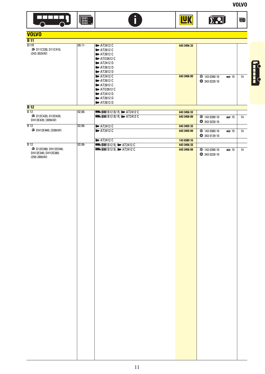$\blacksquare$ 

 $\sum$ ...



| <b>VOLVO</b>                                         |           |                                                |             |                                 |    |
|------------------------------------------------------|-----------|------------------------------------------------|-------------|---------------------------------|----|
| <b>B</b> 11                                          |           |                                                |             |                                 |    |
| B11R                                                 | $09.11 -$ | $\sqrt{2412}$ C                                | 643 3456 33 |                                 |    |
| ■ D11C330; D11C410;                                  |           | <b>I</b> ■ AT2612 C                            |             |                                 |    |
| (243-302kW)                                          |           | <b>ID</b> AT2812 C                             |             |                                 |    |
|                                                      |           | <b>ID</b> AT02612 C                            |             |                                 |    |
|                                                      |           | <b>ID</b> AT2412 D                             |             |                                 |    |
|                                                      |           | <b>ID</b> AT2612 D                             |             |                                 |    |
|                                                      |           | <b>ID</b> AT2812 D                             |             |                                 |    |
|                                                      |           | $H = AT2412C$                                  | 643 3456 09 | ● 143 0390 10<br>图 15           | 14 |
|                                                      |           | <b>I</b> - AT2612 C                            |             | <b>343 0228 10</b>              |    |
|                                                      |           | <b>ID</b> AT2812 C                             |             |                                 |    |
|                                                      |           | <b>ID</b> AT02612 C                            |             |                                 |    |
|                                                      |           | <b>ID</b> AT2412 D                             |             |                                 |    |
|                                                      |           | <b>ID</b> AT2612 D                             |             |                                 |    |
|                                                      |           | <b>ID</b> AT2812 D                             |             |                                 |    |
| <b>B</b> 12                                          |           |                                                |             |                                 |    |
| $\overline{B12}$<br><sup>1</sup> → D12C420; D12D420; | $02.06 -$ | <b>MEDIA B12 B/R; ID: AT2412 C</b>             | 643 3456 33 |                                 |    |
| DH12E420; (309kW)                                    |           | <b>Made BM B12 B/R; No AT2412 C</b>            | 643 3456 09 | ● 143 0390 10<br>图 15           | 14 |
|                                                      |           |                                                |             | <b>343 0228 10</b>              |    |
| $\overline{B12}$                                     | $02.06 -$ | $\sqrt{2412C}$                                 | 643 3455 33 |                                 |    |
| ■■ DH12E460; (338kW)                                 |           | $\sqrt{2412}$ C                                | 643 3455 09 | <b>143 0389 10</b><br>网 15      | 14 |
|                                                      |           |                                                |             | <b>343 0139 10</b>              |    |
|                                                      |           | $\blacktriangleright$ AT2412 C                 | 143 0389 10 |                                 |    |
| $\overline{B12}$                                     | $02.06 -$ | <b>Excess BM B12 B; ID AT2412 C</b>            | 643 3456 33 |                                 |    |
| ■ D12D380; DH12D340;                                 |           | $R \rightarrow$ BM B12 B; $\parallel$ AT2412 C | 643 3456 09 | ● 143 0390 10<br><b>DE21 15</b> | 14 |
| DH12E340; DH12E380;                                  |           |                                                |             | <b>343 0228 10</b>              |    |
| (250-280kW)                                          |           |                                                |             |                                 |    |
|                                                      |           |                                                |             |                                 |    |
|                                                      |           |                                                |             |                                 |    |
|                                                      |           |                                                |             |                                 |    |
|                                                      |           |                                                |             |                                 |    |
|                                                      |           |                                                |             |                                 |    |
|                                                      |           |                                                |             |                                 |    |
|                                                      |           |                                                |             |                                 |    |
|                                                      |           |                                                |             |                                 |    |
|                                                      |           |                                                |             |                                 |    |
|                                                      |           |                                                |             |                                 |    |
|                                                      |           |                                                |             |                                 |    |
|                                                      |           |                                                |             |                                 |    |
|                                                      |           |                                                |             |                                 |    |
|                                                      |           |                                                |             |                                 |    |
|                                                      |           |                                                |             |                                 |    |
|                                                      |           |                                                |             |                                 |    |
|                                                      |           |                                                |             |                                 |    |
|                                                      |           |                                                |             |                                 |    |
|                                                      |           |                                                |             |                                 |    |
|                                                      |           |                                                |             |                                 |    |
|                                                      |           |                                                |             |                                 |    |
|                                                      |           |                                                |             |                                 |    |
|                                                      |           |                                                |             |                                 |    |
|                                                      |           |                                                |             |                                 |    |
|                                                      |           |                                                |             |                                 |    |
|                                                      |           |                                                |             |                                 |    |
|                                                      |           |                                                |             |                                 |    |
|                                                      |           |                                                |             |                                 |    |
|                                                      |           |                                                |             |                                 |    |
|                                                      |           |                                                |             |                                 |    |
|                                                      |           |                                                |             |                                 |    |
|                                                      |           |                                                |             |                                 |    |
|                                                      |           |                                                |             |                                 |    |
|                                                      |           |                                                |             |                                 |    |
|                                                      |           |                                                |             |                                 |    |
|                                                      |           |                                                |             |                                 |    |
|                                                      |           |                                                |             |                                 |    |
|                                                      |           |                                                |             |                                 |    |
|                                                      |           |                                                |             |                                 |    |
|                                                      |           |                                                |             |                                 |    |
|                                                      |           |                                                |             |                                 |    |
|                                                      |           |                                                |             |                                 |    |
|                                                      |           |                                                |             |                                 |    |
|                                                      |           |                                                |             |                                 |    |
|                                                      |           |                                                |             |                                 |    |

Đ

**TAK** 

Fully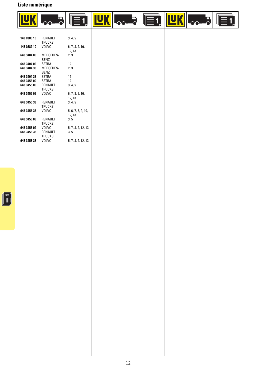## **Liste numérique**



| 143 0389 10       | RFNAUIT<br><b>TRUCKS</b>             | 3, 4, 5                      |
|-------------------|--------------------------------------|------------------------------|
| 143 0389 10       | <b>VOLVO</b>                         | 6, 7, 8, 9, 10,<br>12, 13    |
| 643 3404 09       | MERCEDES-<br>BFN7                    | 2, 3                         |
| 643 3404 09 SETRA |                                      | 12                           |
|                   | 643 3404 33 MERCEDES-<br>BFN7        | 2,3                          |
| 643 3404 33 SETRA |                                      | 12 <sup>2</sup>              |
| 643 3453 00 SETRA |                                      | 12                           |
|                   | 643 3455 09 RENAULT<br><b>TRUCKS</b> | 3, 4, 5                      |
| 643 3455 09 VOLVO |                                      | 6, 7, 8, 9, 10,<br>12, 13    |
| 643 3455 33       | RENAULT<br><b>TRUCKS</b>             | 3, 4, 5                      |
| 643 3455 33       | VOLVO                                | 5, 6, 7, 8, 9, 10,<br>12, 13 |
| 643 3456 09       | RENAULT<br><b>TRUCKS</b>             | 3, 5                         |
| 643 3456 09 VOLVO |                                      | 5, 7, 8, 9, 12, 13           |
| 643 3456 33       | RENAULT<br><b>TRUCKS</b>             | 3, 5                         |
| 643 3456 33 VOLVO |                                      | 5, 7, 8, 9, 12, 13           |

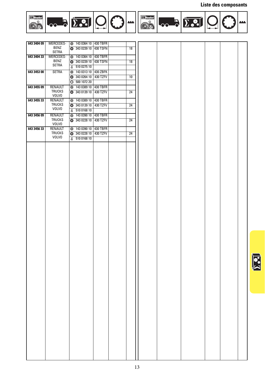#### **Liste des composants**







| 643 3404 09 | MERCEDES-      | <b>143 0364 10 430 TBFR</b> |          |                 |  |  |
|-------------|----------------|-----------------------------|----------|-----------------|--|--|
|             | <b>BENZ</b>    | 343 0239 10                 | 430 TSFN | $\overline{18}$ |  |  |
|             | SETRA          |                             |          |                 |  |  |
| 643 3404 33 | MERCEDES-      | <b>@</b> 143 0364 10        | 430 TBFR |                 |  |  |
|             | <b>BENZ</b>    | <b>343 0239 10</b>          | 430 TSFN | $\overline{18}$ |  |  |
|             | SETRA          | ■ 510 0275 10               |          |                 |  |  |
| 643 3453 00 | <b>SETRA</b>   | $\bigcirc$ 143 0313 10      | 430 ZBFK |                 |  |  |
|             |                | 343 0264 10                 | 430 TZFV | 10              |  |  |
|             |                | $\circled{1}$ 500 1072 20   |          |                 |  |  |
| 643 3455 09 | <b>RENAULT</b> | 2 143 0389 10 430 TBFR      |          |                 |  |  |
|             | <b>TRUCKS</b>  | <b>343 0139 10</b>          | 430 TZFV | 24              |  |  |
|             | <b>VOLVO</b>   |                             |          |                 |  |  |
| 643 3455 33 | RENAULT        | <b>@</b> 143 0389 10        | 430 TBFR |                 |  |  |
|             | <b>TRUCKS</b>  | <b>343 0139 10</b>          | 430 TZFV | 24              |  |  |
|             | <b>VOLVO</b>   | ■ 510 0168 10               |          |                 |  |  |
| 643 3456 09 | RENAULT        | 2 143 0390 10               | 430 TBFR |                 |  |  |
|             | <b>TRUCKS</b>  | <b>343 0228 10</b>          | 430 TZFV | $\overline{24}$ |  |  |
|             | <b>VOLVO</b>   |                             |          |                 |  |  |
| 643 3456 33 | RENAULT        | @ 143 0390 10               | 430 TBFR |                 |  |  |
|             | <b>TRUCKS</b>  | <b>@</b> 343 0228 10        | 430 TZFV | $\overline{24}$ |  |  |
|             | <b>VOLVO</b>   | ■ 510 0168 10               |          |                 |  |  |
|             |                |                             |          |                 |  |  |
|             |                |                             |          |                 |  |  |
|             |                |                             |          |                 |  |  |
|             |                |                             |          |                 |  |  |
|             |                |                             |          |                 |  |  |
|             |                |                             |          |                 |  |  |
|             |                |                             |          |                 |  |  |
|             |                |                             |          |                 |  |  |
|             |                |                             |          |                 |  |  |
|             |                |                             |          |                 |  |  |
|             |                |                             |          |                 |  |  |
|             |                |                             |          |                 |  |  |
|             |                |                             |          |                 |  |  |
|             |                |                             |          |                 |  |  |
|             |                |                             |          |                 |  |  |
|             |                |                             |          |                 |  |  |
|             |                |                             |          |                 |  |  |
|             |                |                             |          |                 |  |  |
|             |                |                             |          |                 |  |  |
|             |                |                             |          |                 |  |  |
|             |                |                             |          |                 |  |  |
|             |                |                             |          |                 |  |  |
|             |                |                             |          |                 |  |  |
|             |                |                             |          |                 |  |  |
|             |                |                             |          |                 |  |  |
|             |                |                             |          |                 |  |  |
|             |                |                             |          |                 |  |  |
|             |                |                             |          |                 |  |  |
|             |                |                             |          |                 |  |  |
|             |                |                             |          |                 |  |  |
|             |                |                             |          |                 |  |  |
|             |                |                             |          |                 |  |  |
|             |                |                             |          |                 |  |  |
|             |                |                             |          |                 |  |  |
|             |                |                             |          |                 |  |  |
|             |                |                             |          |                 |  |  |
|             |                |                             |          |                 |  |  |
|             |                |                             |          |                 |  |  |
|             |                |                             |          |                 |  |  |
|             |                |                             |          |                 |  |  |
|             |                |                             |          |                 |  |  |
|             |                |                             |          |                 |  |  |
|             |                |                             |          |                 |  |  |
|             |                |                             |          |                 |  |  |
|             |                |                             |          |                 |  |  |
|             |                |                             |          |                 |  |  |
|             |                |                             |          |                 |  |  |
|             |                |                             |          |                 |  |  |
|             |                |                             |          |                 |  |  |
|             |                |                             |          |                 |  |  |
|             |                |                             |          |                 |  |  |

 $\sqrt{\frac{1}{2}}$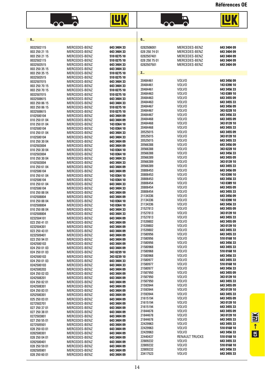**Références OE**





 $\overline{O}$ 

**LUK** 

| 0                                                                                         |                                                                                                    |                                                                                        | 0                                                                        |                                                                                   |                                                                         |
|-------------------------------------------------------------------------------------------|----------------------------------------------------------------------------------------------------|----------------------------------------------------------------------------------------|--------------------------------------------------------------------------|-----------------------------------------------------------------------------------|-------------------------------------------------------------------------|
| 0032502115<br>003 250 21 15<br>003 250 21 15<br>0032502115<br>0032503515<br>003 250 35 15 | MERCEDES-BENZ<br>MERCEDES-BENZ<br>MERCEDES-BENZ<br>MERCEDES-BENZ<br>MERCEDES-BENZ<br>MERCEDES-BENZ | 643 3404 33<br>643 3404 33<br>510 0275 10<br>510 0275 10<br>643 3404 33<br>643 3404 33 | 0282506001<br>028 250 74 01<br>0282507401<br>028 250 75 01<br>0282507501 | MERCEDES-BENZ<br>MERCEDES-BENZ<br>MERCEDES-BENZ<br>MERCEDES-BENZ<br>MERCEDES-BENZ | 643 3404 09<br>643 3404 09<br>643 3404 09<br>643 3404 09<br>643 3404 09 |
| 003 250 35 15                                                                             | MERCEDES-BENZ                                                                                      | 510 0275 10                                                                            | 2                                                                        |                                                                                   |                                                                         |
| 0032503515<br>0032507015<br>003 250 70 15                                                 | MERCEDES-BENZ<br>MERCEDES-BENZ<br>MERCEDES-BENZ                                                    | 510 0275 10<br>643 3404 33<br>643 3404 33                                              | 20484461<br>20484461                                                     | VOLVO<br>VOLVO                                                                    | 643 3456 09<br>143 0390 10                                              |
| 003 250 70 15<br>0032507015                                                               | MERCEDES-BENZ<br>MERCEDES-BENZ                                                                     | 510 0275 10<br>510 0275 10                                                             | 20484461<br>20484463                                                     | VOLVO<br>VOLVO                                                                    | 643 3456 33<br>143 0389 10                                              |
| 0032508615                                                                                | MERCEDES-BENZ                                                                                      | 643 3404 33                                                                            | 20484463                                                                 | VOLVO                                                                             | 643 3455 09                                                             |
| 003 250 86 15                                                                             | MERCEDES-BENZ                                                                                      | 643 3404 33                                                                            | 20484463                                                                 | VOLVO                                                                             | 643 3455 33                                                             |
| 003 250 86 15                                                                             | MERCEDES-BENZ                                                                                      | 510 0275 10                                                                            | 20484467                                                                 | VOLVO                                                                             | 643 3456 09                                                             |
| 0032508615                                                                                | MERCEDES-BENZ<br>MERCEDES-BENZ                                                                     | 510 0275 10<br>643 3404 09                                                             | 20484467<br>20484467                                                     | VOLVO<br>VOLVO                                                                    | 343 0228 10<br>643 3456 33                                              |
| 0102500104<br>010 250 01 04                                                               | MERCEDES-BENZ                                                                                      | 643 3404 09                                                                            | 20484468                                                                 | VOLVO                                                                             | 643 3455 09                                                             |
| 010 250 01 04                                                                             | MERCEDES-BENZ                                                                                      | 143 0364 10                                                                            | 20484468                                                                 | VOLVO                                                                             | 343 0139 10                                                             |
| 0102500104                                                                                | MERCEDES-BENZ                                                                                      | 143 0364 10                                                                            | 20484468                                                                 | VOLVO                                                                             | 643 3455 33                                                             |
| 010 250 01 04                                                                             | MERCEDES-BENZ                                                                                      | 643 3404 33                                                                            | 20525015<br>20525015                                                     | VOLVO<br>VOLVO                                                                    | 643 3455 09<br>343 0139 10                                              |
| 0102500104<br>010 250 30 04                                                               | MERCEDES-BENZ<br>MERCEDES-BENZ                                                                     | 643 3404 33<br>643 3404 09                                                             | 20525015                                                                 | VOLVO                                                                             | 643 3455 33                                                             |
| 0102503004                                                                                | MERCEDES-BENZ                                                                                      | 643 3404 09                                                                            | 20566388                                                                 | VOLVO                                                                             | 643 3456 09                                                             |
| 010 250 30 04                                                                             | MERCEDES-BENZ                                                                                      | 143 0364 10                                                                            | 20566388                                                                 | VOLVO                                                                             | 343 0228 10                                                             |
| 0102503004                                                                                | MERCEDES-BENZ                                                                                      | 143 0364 10                                                                            | 20566388<br>20566389                                                     | VOLVO<br>VOLVO                                                                    | 643 3456 33<br>643 3455 09                                              |
| 010 250 30 04<br>0102503004                                                               | MERCEDES-BENZ<br>MERCEDES-BENZ                                                                     | 643 3404 33<br>643 3404 33                                                             | 20566389                                                                 | VOLVO                                                                             | 343 0139 10                                                             |
| 010 250 61 04                                                                             | MERCEDES-BENZ                                                                                      | 643 3404 09                                                                            | 20566389                                                                 | VOLVO                                                                             | 643 3455 33                                                             |
| 0102506104                                                                                | MERCEDES-BENZ                                                                                      | 643 3404 09                                                                            | 20806453                                                                 | VOLVO                                                                             | 643 3456 09                                                             |
| 010 250 61 04                                                                             | MERCEDES-BENZ                                                                                      | 143 0364 10                                                                            | 20806453<br>20806453                                                     | VOLVO<br>VOLVO                                                                    | 143 0390 10<br>643 3456 33                                              |
| 0102506104<br>010 250 61 04                                                               | MERCEDES-BENZ<br>MERCEDES-BENZ                                                                     | 143 0364 10<br>643 3404 33                                                             | 20806454                                                                 | VOLVO                                                                             | 143 0389 10                                                             |
| 0102506104                                                                                | MERCEDES-BENZ                                                                                      | 643 3404 33                                                                            | 20806454                                                                 | VOLVO                                                                             | 643 3455 09                                                             |
| 010 250 88 04                                                                             | MERCEDES-BENZ                                                                                      | 643 3404 09                                                                            | 20806454                                                                 | VOLVO                                                                             | 643 3455 33                                                             |
| 0102508804                                                                                | MERCEDES-BENZ                                                                                      | 643 3404 09                                                                            | 21134336<br>21134336                                                     | VOLVO<br><b>VOLVO</b>                                                             | 643 3456 09<br>143 0390 10                                              |
| 010 250 88 04<br>0102508804                                                               | MERCEDES-BENZ<br>MERCEDES-BENZ                                                                     | 143 0364 10<br>143 0364 10                                                             | 21134336                                                                 | VOLVO                                                                             | 643 3456 33                                                             |
| 010 250 88 04                                                                             | MERCEDES-BENZ                                                                                      | 643 3404 33                                                                            | 21527813                                                                 | VOLVO                                                                             | 643 3455 09                                                             |
| 0102508804                                                                                | MERCEDES-BENZ                                                                                      | 643 3404 33                                                                            | 21527813                                                                 | VOLVO                                                                             | 343 0139 10                                                             |
| 0232504101                                                                                | MERCEDES-BENZ                                                                                      | 643 3404 09                                                                            | 21527813<br>21539802                                                     | VOLVO<br><b>VOLVO</b>                                                             | 643 3455 33<br>643 3455 09                                              |
| 023 250 41 01<br>0232504301                                                               | MERCEDES-BENZ<br>MERCEDES-BENZ                                                                     | 643 3404 09<br>643 3404 09                                                             | 21539802                                                                 | <b>VOLVO</b>                                                                      | 343 0139 10                                                             |
| 023 250 43 01                                                                             | MERCEDES-BENZ                                                                                      | 643 3404 09                                                                            | 21539802                                                                 | VOLVO                                                                             | 643 3455 33                                                             |
| 0232509401                                                                                | MERCEDES-BENZ                                                                                      | 643 3404 09                                                                            | 21580956                                                                 | VOLVO                                                                             | 643 3455 33                                                             |
| 023 250 94 01                                                                             | MERCEDES-BENZ                                                                                      | 643 3404 09                                                                            | 21580956<br>21580956                                                     | VOLVO<br>VOLVO                                                                    | 510 0168 10<br>643 3456 33                                              |
| 0242500103<br>024 250 01 03                                                               | MERCEDES-BENZ<br>MERCEDES-BENZ                                                                     | 643 3404 09<br>643 3404 09                                                             | 21580968                                                                 | VOLVO                                                                             | 643 3455 33                                                             |
| 024 250 01 03                                                                             | MERCEDES-BENZ                                                                                      | 343 0239 10                                                                            | 21580968                                                                 | VOLVO                                                                             | 510 0168 10                                                             |
| 0242500103                                                                                | MERCEDES-BENZ                                                                                      | 343 0239 10                                                                            | 21580968                                                                 | VOLVO                                                                             | 643 3456 33                                                             |
| 024 250 01 03<br>0242500103                                                               | MERCEDES-BENZ<br>MERCEDES-BENZ                                                                     | 643 3404 33<br>643 3404 33                                                             | 21580977<br>21580977                                                     | VOLVO<br><b>VOLVO</b>                                                             | 643 3455 33<br>510 0168 10                                              |
| 0242500203                                                                                | MERCEDES-BENZ                                                                                      | 643 3404 09                                                                            | 21580977                                                                 | VOLVO                                                                             | 643 3456 33                                                             |
| 024 250 02 03                                                                             | MERCEDES-BENZ                                                                                      | 643 3404 09                                                                            | 21587950                                                                 | VOLVO                                                                             | 643 3455 09                                                             |
| 0242508201                                                                                | MERCEDES-BENZ                                                                                      | 643 3404 09                                                                            | 21587950                                                                 | VOLVO                                                                             | 343 0139 10                                                             |
| 024 250 82 01<br>0242508301                                                               | MERCEDES-BENZ<br>MERCEDES-BENZ                                                                     | 643 3404 09<br>643 3404 09                                                             | 21587950<br>21593944                                                     | VOLVO<br><b>VOLVO</b>                                                             | 643 3455 33<br>643 3455 09                                              |
| 024 250 83 01                                                                             | MERCEDES-BENZ                                                                                      | 643 3404 09                                                                            | 21593944                                                                 | VOLVO                                                                             | 343 0139 10                                                             |
| 0252500301                                                                                | MERCEDES-BENZ                                                                                      | 643 3404 09                                                                            | 21593944                                                                 | VOLVO                                                                             | 643 3455 33                                                             |
| 025 250 03 01                                                                             | MERCEDES-BENZ                                                                                      | 643 3404 09                                                                            | 21615194                                                                 | VOLVO                                                                             | 643 3455 09                                                             |
| 0272503701                                                                                | MERCEDES-BENZ                                                                                      | 643 3404 09                                                                            | 21615194<br>21615194                                                     | VOLVO<br><b>VOLVO</b>                                                             | 343 0139 10<br>643 3455 33                                              |
| 027 250 37 01<br>027 250 38 01                                                            | MERCEDES-BENZ<br>MERCEDES-BENZ                                                                     | 643 3404 09<br>643 3404 09                                                             | 21844678                                                                 | VOLVO                                                                             | 643 3455 09                                                             |
| 0272503801                                                                                | MERCEDES-BENZ                                                                                      | 643 3404 09                                                                            | 21844678                                                                 | VOLVO                                                                             | 343 0139 10                                                             |
| 027 250 55 01                                                                             | MERCEDES-BENZ                                                                                      | 643 3404 09                                                                            | 21844678                                                                 | VOLVO                                                                             | 643 3455 33                                                             |
| 0272505501                                                                                | MERCEDES-BENZ                                                                                      | 643 3404 09                                                                            | 22429963<br>22429963                                                     | VOLVO<br><b>VOLVO</b>                                                             | 643 3455 33<br>510 0168 10                                              |
| 028 250 03 01<br>0282500301                                                               | MERCEDES-BENZ<br>MERCEDES-BENZ                                                                     | 643 3404 09<br>643 3404 09                                                             | 22429963                                                                 | <b>VOLVO</b>                                                                      | 643 3456 33                                                             |
| 028 250 04 01                                                                             | MERCEDES-BENZ                                                                                      | 643 3404 09                                                                            | 22440437                                                                 | RENAULT TRUCKS                                                                    | 510 0168 10                                                             |
| 0282500401                                                                                | MERCEDES-BENZ                                                                                      | 643 3404 09                                                                            | 22809232                                                                 | VOLVO                                                                             | 643 3455 33                                                             |
| 028 250 59 01                                                                             | MERCEDES-BENZ                                                                                      | 643 3404 09                                                                            | 22809232<br>22809232                                                     | VOLVO<br><b>VOLVO</b>                                                             | 510 0168 10<br>643 3456 33                                              |
| 0282505901<br>028 250 60 01                                                               | MERCEDES-BENZ<br>MERCEDES-BENZ                                                                     | 643 3404 09<br>643 3404 09                                                             | 23417523                                                                 | <b>VOLVO</b>                                                                      | 643 3455 33                                                             |
|                                                                                           |                                                                                                    |                                                                                        |                                                                          |                                                                                   |                                                                         |

 $\begin{array}{c}\n\hline\n\text{GR} \rightarrow \text{I}\text{I}\text{M}\n\end{array}$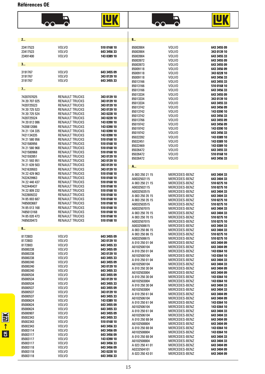#### **Références OE**

| – <b>–</b><br>- -<br>- |
|------------------------|
|------------------------|

| 2                                                                                                                                                                                                                                                      |                                                                                                                                                                                                                                                                                                                                                                                  |                                                                                                                                                                                                                                              | 8                                                                                                                                                                                                                       |                                                                                                                                                                                                                           |                                                                                                                                                                                                                                              |
|--------------------------------------------------------------------------------------------------------------------------------------------------------------------------------------------------------------------------------------------------------|----------------------------------------------------------------------------------------------------------------------------------------------------------------------------------------------------------------------------------------------------------------------------------------------------------------------------------------------------------------------------------|----------------------------------------------------------------------------------------------------------------------------------------------------------------------------------------------------------------------------------------------|-------------------------------------------------------------------------------------------------------------------------------------------------------------------------------------------------------------------------|---------------------------------------------------------------------------------------------------------------------------------------------------------------------------------------------------------------------------|----------------------------------------------------------------------------------------------------------------------------------------------------------------------------------------------------------------------------------------------|
| 23417523<br>23417523<br>23491400                                                                                                                                                                                                                       | <b>VOLVO</b><br><b>VOLVO</b><br><b>VOLVO</b>                                                                                                                                                                                                                                                                                                                                     | 510 0168 10<br>643 3456 33<br>143 0389 10                                                                                                                                                                                                    | 85003904<br>85003904<br>85003904<br>85003972                                                                                                                                                                            | <b>VOLVO</b><br><b>VOLVO</b><br>VOLVO<br>VOLVO                                                                                                                                                                            | 643 3455 09<br>343 0139 10<br>643 3455 33<br>643 3455 09                                                                                                                                                                                     |
| 3                                                                                                                                                                                                                                                      |                                                                                                                                                                                                                                                                                                                                                                                  |                                                                                                                                                                                                                                              | 85003973                                                                                                                                                                                                                | <b>VOLVO</b>                                                                                                                                                                                                              | 643 3455 09                                                                                                                                                                                                                                  |
| 3191767<br>3191767<br>3191767                                                                                                                                                                                                                          | <b>VOLVO</b><br>VOLVO<br><b>VOLVO</b>                                                                                                                                                                                                                                                                                                                                            | 643 3455 09<br>343 0139 10<br>643 3455 33                                                                                                                                                                                                    | 85009118<br>85009118<br>85009118<br>85013166<br>85013166                                                                                                                                                                | VOLVO<br>VOLVO<br><b>VOLVO</b><br>VOLVO<br><b>VOLVO</b>                                                                                                                                                                   | 643 3456 09<br>343 0228 10<br>643 3456 33<br>643 3455 33<br>510 0168 10                                                                                                                                                                      |
| 7                                                                                                                                                                                                                                                      |                                                                                                                                                                                                                                                                                                                                                                                  |                                                                                                                                                                                                                                              | 85013166                                                                                                                                                                                                                | VOLVO                                                                                                                                                                                                                     | 643 3456 33                                                                                                                                                                                                                                  |
| 7420707025<br>74 20 707 025<br>7420725523<br>74 20 7 25 5 23<br>74 20 725 524<br>7420725524<br>74 20 812 086<br>7420812086<br>74 21 134 335<br>7421134335<br>74 21 580 956<br>7421580956<br>74 21 580 968<br>7421580968<br>7421593951<br>74 21 593 951 | RENAULT TRUCKS<br><b>RENAULT TRUCKS</b><br><b>RENAULT TRUCKS</b><br>RENAULT TRUCKS<br>RENAULT TRUCKS<br><b>RENAULT TRUCKS</b><br><b>RENAULT TRUCKS</b><br><b>RENAULT TRUCKS</b><br><b>RENAULT TRUCKS</b><br><b>RENAULT TRUCKS</b><br><b>RENAULT TRUCKS</b><br><b>RENAULT TRUCKS</b><br><b>RENAULT TRUCKS</b><br><b>RENAULT TRUCKS</b><br><b>RENAULT TRUCKS</b><br>RENAULT TRUCKS | 343 0139 10<br>343 0139 10<br>343 0139 10<br>343 0139 10<br>343 0228 10<br>343 0228 10<br>143 0390 10<br>143 0390 10<br>143 0390 10<br>143 0390 10<br>510 0168 10<br>510 0168 10<br>510 0168 10<br>510 0168 10<br>343 0139 10<br>343 0139 10 | 85013334<br>85013334<br>85013334<br>85013742<br>85013742<br>85013742<br>85013766<br>85019742<br>85019742<br>85019742<br>85022392<br>85022451<br>85022469<br>85026472<br>85026472<br>85026472                            | VOLVO<br><b>VOLVO</b><br>VOLVO<br><b>VOLVO</b><br>VOLVO<br>VOLVO<br><b>VOLVO</b><br>VOLVO<br>VOLVO<br>VOLVO<br>VOLVO<br><b>VOLVO</b><br>VOLVO<br><b>VOLVO</b><br>VOLVO<br>VOLVO                                           | 643 3455 09<br>343 0139 10<br>643 3455 33<br>643 3456 09<br>143 0390 10<br>643 3456 33<br>643 3455 09<br>643 3456 09<br>143 0390 10<br>643 3456 33<br>143 0389 10<br>143 0389 10<br>143 0389 10<br>643 3455 33<br>510 0168 10<br>643 3456 33 |
| 74 21 639 503<br>7421639503                                                                                                                                                                                                                            | <b>RENAULT TRUCKS</b><br><b>RENAULT TRUCKS</b>                                                                                                                                                                                                                                                                                                                                   | 343 0139 10<br>343 0139 10                                                                                                                                                                                                                   | A                                                                                                                                                                                                                       |                                                                                                                                                                                                                           |                                                                                                                                                                                                                                              |
| 74 22 429 963<br>7422429963<br>74 22 440 437<br>7422440437<br>74 22 809 232<br>7422809232<br>74 85 003 687<br>7485003687<br>74 85 013 168<br>7485013168<br>74 85 020 473<br>7485020473                                                                 | RENAULT TRUCKS<br><b>RENAULT TRUCKS</b><br>RENAULT TRUCKS<br><b>RENAULT TRUCKS</b><br><b>RENAULT TRUCKS</b><br>RENAULT TRUCKS<br><b>RENAULT TRUCKS</b><br>RENAULT TRUCKS<br>RENAULT TRUCKS<br><b>RENAULT TRUCKS</b><br>RENAULT TRUCKS<br><b>RENAULT TRUCKS</b>                                                                                                                   | 510 0168 10<br>510 0168 10<br>510 0168 10<br>510 0168 10<br>510 0168 10<br>510 0168 10<br>510 0168 10<br>510 0168 10<br>510 0168 10<br>510 0168 10<br>510 0168 10<br>510 0168 10                                                             | A 003 250 21 15<br>A0032502115<br>A 003 250 21 15<br>A0032502115<br>A0032503515<br>A 003 250 35 15<br>A 003 250 35 15<br>A0032503515<br>A0032507015<br>A 003 250 70 15<br>A 003 250 70 15<br>A0032507015<br>A0032508615 | MERCEDES-BENZ<br>MERCEDES-BENZ<br>MERCEDES-BENZ<br>MERCEDES-BENZ<br>MERCEDES-BENZ<br>MERCEDES-BENZ<br>MERCEDES-BENZ<br>MERCEDES-BENZ<br>MERCEDES-BENZ<br>MERCEDES-BENZ<br>MERCEDES-BENZ<br>MERCEDES-BENZ<br>MERCEDES-BENZ | 643 3404 33<br>643 3404 33<br>510 0275 10<br>510 0275 10<br>643 3404 33<br>643 3404 33<br>510 0275 10<br>510 0275 10<br>643 3404 33<br>643 3404 33<br>510 0275 10<br>510 0275 10<br>643 3404 33                                              |
| 8                                                                                                                                                                                                                                                      |                                                                                                                                                                                                                                                                                                                                                                                  |                                                                                                                                                                                                                                              | A 003 250 86 15                                                                                                                                                                                                         | MERCEDES-BENZ                                                                                                                                                                                                             | 643 3404 33                                                                                                                                                                                                                                  |
| 8172803<br>8172803<br>8172803<br>85000238<br>85000238                                                                                                                                                                                                  | VOLVO<br>VOLVO<br>VOLVO<br>VOLVO<br><b>VOLVO</b>                                                                                                                                                                                                                                                                                                                                 | 643 3455 09<br>343 0139 10<br>643 3455 33<br>643 3455 09<br>343 0139 10                                                                                                                                                                      | A 003 250 86 15<br>A0032508615<br>A 010 250 01 04<br>A0102500104<br>A 010 250 01 04<br>A0102500104                                                                                                                      | MERCEDES-BENZ<br>MERCEDES-BENZ<br>MERCEDES-BENZ<br>MERCEDES-BENZ<br>MERCEDES-BENZ<br>MERCEDES-BENZ                                                                                                                        | 510 0275 10<br>510 0275 10<br>643 3404 09<br>643 3404 09<br>143 0364 10<br>143 0364 10                                                                                                                                                       |
| 85000238<br>85000240                                                                                                                                                                                                                                   | <b>VOLVO</b><br>VOLVO                                                                                                                                                                                                                                                                                                                                                            | 643 3455 33<br>643 3455 09                                                                                                                                                                                                                   | A 010 250 01 04                                                                                                                                                                                                         | MERCEDES-BENZ                                                                                                                                                                                                             | 643 3404 33                                                                                                                                                                                                                                  |
| 85000240<br>85000240<br>85000534<br>85000534<br>85000534<br>85000537<br>85000537                                                                                                                                                                       | VOLVO<br>VOLVO<br><b>VOLVO</b><br><b>VOLVO</b><br>VOLVO<br>VOLVO<br>VOLVO                                                                                                                                                                                                                                                                                                        | 343 0139 10<br>643 3455 33<br>643 3455 09<br>343 0139 10<br>643 3455 33<br>643 3455 09<br>343 0139 10                                                                                                                                        | A0102500104<br>A 010 250 30 04<br>A0102503004<br>A 010 250 30 04<br>A0102503004<br>A 010 250 30 04<br>A0102503004                                                                                                       | MERCEDES-BENZ<br>MERCEDES-BENZ<br>MERCEDES-BENZ<br>MERCEDES-BENZ<br>MERCEDES-BENZ<br>MERCEDES-BENZ<br>MERCEDES-BENZ                                                                                                       | 643 3404 33<br>643 3404 09<br>643 3404 09<br>143 0364 10<br>143 0364 10<br>643 3404 33<br>643 3404 33                                                                                                                                        |
| 85000537                                                                                                                                                                                                                                               | <b>VOLVO</b>                                                                                                                                                                                                                                                                                                                                                                     | 643 3455 33                                                                                                                                                                                                                                  | A 010 250 61 04                                                                                                                                                                                                         | MERCEDES-BENZ                                                                                                                                                                                                             | 643 3404 09                                                                                                                                                                                                                                  |
| 85000624<br>85000624<br>85000624                                                                                                                                                                                                                       | <b>VOLVO</b><br>VOLVO<br>VOLVO                                                                                                                                                                                                                                                                                                                                                   | 143 0389 10<br>643 3455 09<br>643 3455 33                                                                                                                                                                                                    | A0102506104<br>A 010 250 61 04<br>A0102506104                                                                                                                                                                           | MERCEDES-BENZ<br>MERCEDES-BENZ<br>MERCEDES-BENZ                                                                                                                                                                           | 643 3404 09<br>143 0364 10<br>143 0364 10                                                                                                                                                                                                    |
| 85000907                                                                                                                                                                                                                                               | VOLVO                                                                                                                                                                                                                                                                                                                                                                            | 643 3455 09                                                                                                                                                                                                                                  | A 010 250 61 04                                                                                                                                                                                                         | MERCEDES-BENZ                                                                                                                                                                                                             | 643 3404 33                                                                                                                                                                                                                                  |
| 85002343                                                                                                                                                                                                                                               | <b>VOLVO</b>                                                                                                                                                                                                                                                                                                                                                                     | 643 3455 33                                                                                                                                                                                                                                  | A0102506104<br>A 010 250 88 04                                                                                                                                                                                          | MERCEDES-BENZ<br>MERCEDES-BENZ                                                                                                                                                                                            | 643 3404 33<br>643 3404 09                                                                                                                                                                                                                   |
| 85002343<br>85002343                                                                                                                                                                                                                                   | VOLVO<br>VOLVO                                                                                                                                                                                                                                                                                                                                                                   | 510 0168 10<br>643 3456 33                                                                                                                                                                                                                   | A0102508804                                                                                                                                                                                                             | MERCEDES-BENZ                                                                                                                                                                                                             | 643 3404 09                                                                                                                                                                                                                                  |
| 85003114                                                                                                                                                                                                                                               | VOLVO                                                                                                                                                                                                                                                                                                                                                                            | 643 3456 09                                                                                                                                                                                                                                  | A 010 250 88 04<br>A0102508804                                                                                                                                                                                          | MERCEDES-BENZ<br>MERCEDES-BENZ                                                                                                                                                                                            | 143 0364 10<br>143 0364 10                                                                                                                                                                                                                   |
| 85003117                                                                                                                                                                                                                                               | VOLVO                                                                                                                                                                                                                                                                                                                                                                            | 643 3456 09                                                                                                                                                                                                                                  | A 010 250 88 04                                                                                                                                                                                                         | MERCEDES-BENZ                                                                                                                                                                                                             | 643 3404 33                                                                                                                                                                                                                                  |
| 85003117<br>85003117                                                                                                                                                                                                                                   | <b>VOLVO</b><br>VOLVO                                                                                                                                                                                                                                                                                                                                                            | 143 0390 10<br>643 3456 33                                                                                                                                                                                                                   | A0102508804                                                                                                                                                                                                             | MERCEDES-BENZ                                                                                                                                                                                                             | 643 3404 33                                                                                                                                                                                                                                  |
| 85003118                                                                                                                                                                                                                                               | VOLVO                                                                                                                                                                                                                                                                                                                                                                            | 643 3456 09                                                                                                                                                                                                                                  | A 023 250 41 01<br>A0232504101                                                                                                                                                                                          | MERCEDES-BENZ<br>MERCEDES-BENZ                                                                                                                                                                                            | 643 3404 09<br>643 3404 09                                                                                                                                                                                                                   |
| 85003118<br>85003118                                                                                                                                                                                                                                   | VOLVO<br><b>VOLVO</b>                                                                                                                                                                                                                                                                                                                                                            | 343 0228 10<br>643 3456 33                                                                                                                                                                                                                   | A 023 250 43 01                                                                                                                                                                                                         | MERCEDES-BENZ                                                                                                                                                                                                             | 643 3404 09                                                                                                                                                                                                                                  |